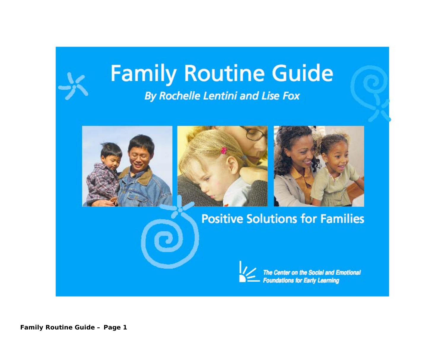# **Family Routine Guide By Rochelle Lentini and Lise Fox**









The Center on the Social and Emotional<br>Foundations for Early Learning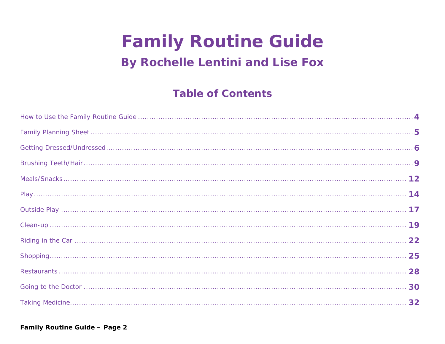# **Family Routine Guide**

# **By Rochelle Lentini and Lise Fox**

# **Table of Contents**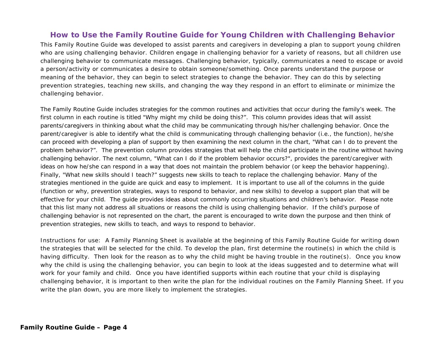#### **How to Use the Family Routine Guide for Young Children with Challenging Behavior**

This *Family Routine Guide* was developed to assist parents and caregivers in developing a plan to support young children who are using challenging behavior. Children engage in challenging behavior for a variety of reasons, but all children use challenging behavior to communicate messages. Challenging behavior, typically, communicates a need to escape or avoid a person/activity or communicates a desire to obtain someone/something. Once parents understand the purpose or meaning of the behavior, they can begin to select strategies to change the behavior. They can do this by selecting prevention strategies, teaching new skills, and changing the way they respond in an effort to eliminate or minimize the challenging behavior.

The *Family Routine Guide* includes strategies for the common routines and activities that occur during the family's week. The first column in each routine is titled "Why might my child be doing this?". This column provides ideas that will assist parents/caregivers in thinking about what the child may be communicating through his/her challenging behavior. Once the parent/caregiver is able to identify what the child is communicating through challenging behavior (i.e., the function), he/she can proceed with developing a plan of support by then examining the next column in the chart, "What can I do to prevent the problem behavior?". The prevention column provides strategies that will help the child participate in the routine without having challenging behavior. The next column, "What can I do if the problem behavior occurs?", provides the parent/caregiver with ideas on how he/she can respond in a way that does not maintain the problem behavior (or keep the behavior happening). Finally, "What new skills should I teach?" suggests new skills to teach to replace the challenging behavior. Many of the strategies mentioned in the guide are quick and easy to implement. It is important to use all of the columns in the guide (function or why, prevention strategies, ways to respond to behavior, and new skills) to develop a support plan that will be effective for your child. The guide provides ideas about commonly occurring situations and children's behavior. Please note that this list many not address all situations or reasons the child is using challenging behavior. If the child's purpose of challenging behavior is not represented on the chart, the parent is encouraged to write down the purpose and then think of prevention strategies, new skills to teach, and ways to respond to behavior.

Instructions for use: A *Family Planning Sheet* is available at the beginning of this *Family Routine Guide* for writing down the strategies that will be selected for the child. To develop the plan, first determine the routine(s) in which the child is having difficulty. Then look for the reason as to why the child might be having trouble in the routine(s). Once you know why the child is using the challenging behavior, you can begin to look at the ideas suggested and to determine what will work for your family and child. Once you have identified supports within each routine that your child is displaying challenging behavior, it is important to then write the plan for the individual routines on the *Family Planning Sheet*. If you write the plan down, you are more likely to implement the strategies.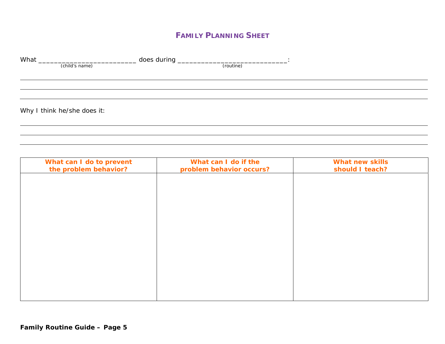#### **FAMILY PLANNING SHEET**

| What | (child's name)              | (routine) |  |
|------|-----------------------------|-----------|--|
|      |                             |           |  |
|      |                             |           |  |
|      | Why I think he/she does it: |           |  |
|      |                             |           |  |

| What can I do to prevent<br>the problem behavior? | What can I do if the<br>problem behavior occurs? | <b>What new skills</b><br>should I teach? |
|---------------------------------------------------|--------------------------------------------------|-------------------------------------------|
|                                                   |                                                  |                                           |
|                                                   |                                                  |                                           |
|                                                   |                                                  |                                           |
|                                                   |                                                  |                                           |
|                                                   |                                                  |                                           |
|                                                   |                                                  |                                           |
|                                                   |                                                  |                                           |
|                                                   |                                                  |                                           |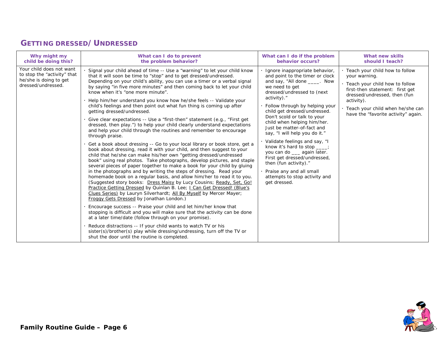#### **GETTING DRESSED/UNDRESSED**

| Why might my                                                                                            | What can I do to prevent                                                                                                                                                                                                                                                                                                                                                                                                                                                                                                                                                                                                                                                                                                                                                                                                                                                                                                                                                                                                                                                                                                                                                                                                                                                                                                                                                                                                                                                                                                                                                                                                                                                                                                                                                                                                                                                                                                                                                                     | What can I do if the problem                                                                                                                                                                                                                                                                                                                                                                                                                                                                                                                                                                           | What new skills                                                                                                                                                                                                                                   |
|---------------------------------------------------------------------------------------------------------|----------------------------------------------------------------------------------------------------------------------------------------------------------------------------------------------------------------------------------------------------------------------------------------------------------------------------------------------------------------------------------------------------------------------------------------------------------------------------------------------------------------------------------------------------------------------------------------------------------------------------------------------------------------------------------------------------------------------------------------------------------------------------------------------------------------------------------------------------------------------------------------------------------------------------------------------------------------------------------------------------------------------------------------------------------------------------------------------------------------------------------------------------------------------------------------------------------------------------------------------------------------------------------------------------------------------------------------------------------------------------------------------------------------------------------------------------------------------------------------------------------------------------------------------------------------------------------------------------------------------------------------------------------------------------------------------------------------------------------------------------------------------------------------------------------------------------------------------------------------------------------------------------------------------------------------------------------------------------------------------|--------------------------------------------------------------------------------------------------------------------------------------------------------------------------------------------------------------------------------------------------------------------------------------------------------------------------------------------------------------------------------------------------------------------------------------------------------------------------------------------------------------------------------------------------------------------------------------------------------|---------------------------------------------------------------------------------------------------------------------------------------------------------------------------------------------------------------------------------------------------|
| child be doing this?                                                                                    | the problem behavior?                                                                                                                                                                                                                                                                                                                                                                                                                                                                                                                                                                                                                                                                                                                                                                                                                                                                                                                                                                                                                                                                                                                                                                                                                                                                                                                                                                                                                                                                                                                                                                                                                                                                                                                                                                                                                                                                                                                                                                        | behavior occurs?                                                                                                                                                                                                                                                                                                                                                                                                                                                                                                                                                                                       | should I teach?                                                                                                                                                                                                                                   |
| Your child does not want<br>to stop the "activity" that<br>he/she is doing to get<br>dressed/undressed. | Signal your child ahead of time -- Use a "warning" to let your child know<br>that it will soon be time to "stop" and to get dressed/undressed.<br>Depending on your child's ability, you can use a timer or a verbal signal<br>by saying "in five more minutes" and then coming back to let your child<br>know when it's "one more minute".<br>Help him/her understand you know how he/she feels -- Validate your<br>child's feelings and then point out what fun thing is coming up after<br>getting dressed/undressed.<br>Give clear expectations -- Use a "first-then" statement (e.g., "First get<br>dressed, then play.") to help your child clearly understand expectations<br>and help your child through the routines and remember to encourage<br>through praise.<br>Get a book about dressing -- Go to your local library or book store, get a<br>book about dressing, read it with your child, and then suggest to your<br>child that he/she can make his/her own "getting dressed/undressed<br>book" using real photos. Take photographs, develop pictures, and staple<br>several pieces of paper together to make a book for your child by gluing<br>in the photographs and by writing the steps of dressing. Read your<br>homemade book on a regular basis, and allow him/her to read it to you.<br>(Suggested story books: Dress Maisy by Lucy Cousins; Ready, Set, Go!<br>Practice Getting Dressed by Quinlan B. Lee; I Can Get Dressed! (Blue's<br>Clues Series) by Lauryn Silverhardt; All By Myself by Mercer Mayer;<br>Froggy Gets Dressed by Jonathan London.)<br>Encourage success -- Praise your child and let him/her know that<br>stopping is difficult and you will make sure that the activity can be done<br>at a later time/date (follow through on your promise).<br>Reduce distractions -- If your child wants to watch TV or his<br>sister(s)/brother(s) play while dressing/undressing, turn off the TV or<br>shut the door until the routine is completed. | Ignore inappropriate behavior,<br>and point to the timer or clock<br>and say, "All done _____. Now<br>we need to get<br>dressed/undressed to (next<br>activity)."<br>Follow through by helping your<br>child get dressed/undressed.<br>Don't scold or talk to your<br>child when helping him/her.<br>Just be matter-of-fact and<br>say, "I will help you do it."<br>· Validate feelings and say, "I<br>know it's hard to stop ___;<br>you can do __ again later.<br>First get dressed/undressed,<br>then (fun activity)."<br>Praise any and all small<br>attempts to stop activity and<br>get dressed. | · Teach your child how to follow<br>your warning.<br>. Teach your child how to follow<br>first-then statement: first get<br>dressed/undressed, then (fun<br>activity).<br>Teach your child when he/she can<br>have the "favorite activity" again. |

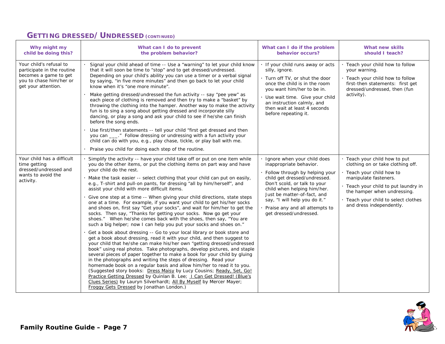#### **GETTING DRESSED/UNDRESSED (CONTINUED)**

| Why might my<br>child be doing this?                                                                                             | What can I do to prevent<br>the problem behavior?                                                                                                                                                                                                                                                                                                                                                                                                                                                                                                                                                                                                                                                                                                                                                                                                                                                                                                                                                                                                                                                                                                                                                                                                                                                                                                                                                                                                                                                                                                                                                                                                     | What can I do if the problem<br>behavior occurs?                                                                                                                                                                                                                                                                      | What new skills<br>should I teach?                                                                                                                                                                                                                                  |
|----------------------------------------------------------------------------------------------------------------------------------|-------------------------------------------------------------------------------------------------------------------------------------------------------------------------------------------------------------------------------------------------------------------------------------------------------------------------------------------------------------------------------------------------------------------------------------------------------------------------------------------------------------------------------------------------------------------------------------------------------------------------------------------------------------------------------------------------------------------------------------------------------------------------------------------------------------------------------------------------------------------------------------------------------------------------------------------------------------------------------------------------------------------------------------------------------------------------------------------------------------------------------------------------------------------------------------------------------------------------------------------------------------------------------------------------------------------------------------------------------------------------------------------------------------------------------------------------------------------------------------------------------------------------------------------------------------------------------------------------------------------------------------------------------|-----------------------------------------------------------------------------------------------------------------------------------------------------------------------------------------------------------------------------------------------------------------------------------------------------------------------|---------------------------------------------------------------------------------------------------------------------------------------------------------------------------------------------------------------------------------------------------------------------|
| Your child's refusal to<br>participate in the routine<br>becomes a game to get<br>you to chase him/her or<br>get your attention. | Signal your child ahead of time -- Use a "warning" to let your child know<br>that it will soon be time to "stop" and to get dressed/undressed.<br>Depending on your child's ability you can use a timer or a verbal signal<br>by saying, "in five more minutes" and then go back to let your child<br>know when it's "one more minute".<br>Make getting dressed/undressed the fun activity -- say "pee yew" as<br>each piece of clothing is removed and then try to make a "basket" by<br>throwing the clothing into the hamper. Another way to make the activity<br>fun is to sing a song about getting dressed and incorporate silly<br>dancing, or play a song and ask your child to see if he/she can finish<br>before the song ends.<br>Use first/then statements -- tell your child "first get dressed and then<br>you can ___." Follow dressing or undressing with a fun activity your<br>child can do with you, e.g., play chase, tickle, or play ball with me.<br>Praise you child for doing each step of the routine.                                                                                                                                                                                                                                                                                                                                                                                                                                                                                                                                                                                                                       | · If your child runs away or acts<br>silly, ignore.<br>. Turn off TV, or shut the door<br>once the child is in the room<br>you want him/her to be in.<br>Use wait time. Give your child<br>an instruction calmly, and<br>then wait at least 4 seconds<br>before repeating it.                                         | · Teach your child how to follow<br>your warning.<br>. Teach your child how to follow<br>first-then statements: first get<br>dressed/undressed, then (fun<br>activity).                                                                                             |
| Your child has a difficult<br>time getting<br>dressed/undressed and<br>wants to avoid the<br>activity.                           | Simplify the activity -- have your child take off or put on one item while<br>you do the other items, or put the clothing items on part way and have<br>your child do the rest.<br>Make the task easier -- select clothing that your child can put on easily,<br>e.g., T-shirt and pull-on pants, for dressing "all by him/herself", and<br>assist your child with more difficult items.<br>Give one step at a time -- When giving your child directions, state steps<br>one at a time. For example, if you want your child to get his/her socks<br>and shoes on, first say "Get your socks", and wait for him/her to get the<br>socks. Then say, "Thanks for getting your socks. Now go get your<br>shoes." When he/she comes back with the shoes, then say, "You are<br>such a big helper; now I can help you put your socks and shoes on."<br>Get a book about dressing -- Go to your local library or book store and<br>get a book about dressing, read it with your child, and then suggest to<br>your child that he/she can make his/her own "getting dressed/undressed<br>book" using real photos. Take photographs, develop pictures, and staple<br>several pieces of paper together to make a book for your child by gluing<br>in the photographs and writing the steps of dressing. Read your<br>homemade book on a regular basis and allow him/her to read it to you.<br>(Suggested story books: Dress Maisy by Lucy Cousins; Ready, Set, Go!<br>Practice Getting Dressed by Quinlan B. Lee; I Can Get Dressed! (Blue's<br>Clues Series) by Lauryn Silverhardt; All By Myself by Mercer Mayer;<br>Froggy Gets Dressed by Jonathan London.) | · Ignore when your child does<br>inappropriate behavior.<br>Follow through by helping your<br>child get dressed/undressed.<br>Don't scold, or talk to your<br>child when helping him/her.<br>Just be matter-of-fact, and<br>say, "I will help you do it."<br>Praise any and all attempts to<br>get dressed/undressed. | · Teach your child how to put<br>clothing on or take clothing off.<br>· Teach your child how to<br>manipulate fasteners.<br>. Teach your child to put laundry in<br>the hamper when undressing.<br>· Teach your child to select clothes<br>and dress independently. |

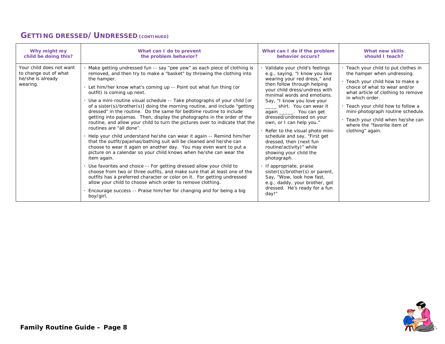#### **GETTING DRESSED/UNDRESSED (CONTINUED)**

| Why might my                                                                       | What can I do to prevent                                                                                                                                                                                                                                                                                                                                                                                                                                                                                                                                                                                                                                                                                                                                                                                                                                                                                                                                                                                                                                                                                                                                                                                                                                                                                                                                                                 | What can I do if the problem                                                                                                                                                                                                                                                                                                                                                                                                                                                                                                                                                                                                                                                                    | What new skills                                                                                                                                                                                                                                                                                                                                                   |
|------------------------------------------------------------------------------------|------------------------------------------------------------------------------------------------------------------------------------------------------------------------------------------------------------------------------------------------------------------------------------------------------------------------------------------------------------------------------------------------------------------------------------------------------------------------------------------------------------------------------------------------------------------------------------------------------------------------------------------------------------------------------------------------------------------------------------------------------------------------------------------------------------------------------------------------------------------------------------------------------------------------------------------------------------------------------------------------------------------------------------------------------------------------------------------------------------------------------------------------------------------------------------------------------------------------------------------------------------------------------------------------------------------------------------------------------------------------------------------|-------------------------------------------------------------------------------------------------------------------------------------------------------------------------------------------------------------------------------------------------------------------------------------------------------------------------------------------------------------------------------------------------------------------------------------------------------------------------------------------------------------------------------------------------------------------------------------------------------------------------------------------------------------------------------------------------|-------------------------------------------------------------------------------------------------------------------------------------------------------------------------------------------------------------------------------------------------------------------------------------------------------------------------------------------------------------------|
| child be doing this?                                                               | the problem behavior?                                                                                                                                                                                                                                                                                                                                                                                                                                                                                                                                                                                                                                                                                                                                                                                                                                                                                                                                                                                                                                                                                                                                                                                                                                                                                                                                                                    | behavior occurs?                                                                                                                                                                                                                                                                                                                                                                                                                                                                                                                                                                                                                                                                                | should I teach?                                                                                                                                                                                                                                                                                                                                                   |
| Your child does not want<br>to change out of what<br>he/she is already<br>wearing. | Make getting undressed fun -- say "pee yew" as each piece of clothing is<br>removed, and then try to make a "basket" by throwing the clothing into<br>the hamper.<br>Let him/her know what's coming up -- Point out what fun thing (or<br>outfit) is coming up next.<br>Use a mini-routine visual schedule -- Take photographs of your child [or<br>of a sister(s)/brother(s)] doing the morning routine, and include "getting<br>dressed" in the routine. Do the same for bedtime routine to include<br>getting into pajamas. Then, display the photographs in the order of the<br>routine, and allow your child to turn the pictures over to indicate that the<br>routines are "all done".<br>Help your child understand he/she can wear it again -- Remind him/her<br>that the outfit/pajamas/bathing suit will be cleaned and he/she can<br>choose to wear it again on another day. You may even want to put a<br>picture on a calendar so your child knows when he/she can wear the<br>item again.<br>Use favorites and choice -- For getting dressed allow your child to<br>choose from two or three outfits, and make sure that at least one of the<br>outfits has a preferred character or color on it. For getting undressed<br>allow your child to choose which order to remove clothing.<br>Encourage success -- Praise him/her for changing and for being a big<br>boy/girl. | Validate your child's feelings<br>e.g., saying, "I know you like<br>wearing your red dress," and<br>then follow through helping<br>your child dress/undress with<br>minimal words and emotions.<br>Say, "I know you love your<br>_____ shirt. You can wear it<br>again _______. You can get<br>dressed/undressed on your<br>own, or I can help you."<br>· Refer to the visual photo mini-<br>schedule and say, "First get<br>dressed, then (next fun<br>routine/activity)" while<br>showing your child the<br>photograph.<br>If appropriate, praise<br>sister(s)/brother(s) or parent,<br>Say, "Wow, look how fast,<br>e.g., daddy, your brother, got<br>dressed. He's ready for a fun<br>day!" | Teach your child to put clothes in<br>the hamper when undressing.<br>· Teach your child how to make a<br>choice of what to wear and/or<br>what article of clothing to remove<br>in which order.<br>Teach your child how to follow a<br>mini-photograph routine schedule.<br>· Teach your child when he/she can<br>where the "favorite item of<br>clothing" again. |

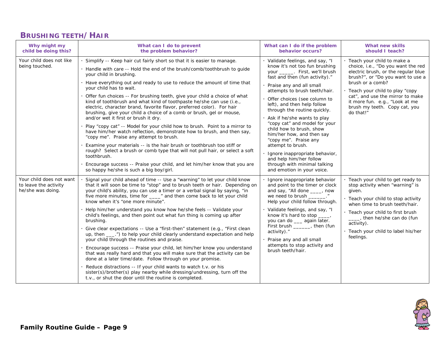## **BRUSHING TEETH/HAIR**

| Why might my<br>child be doing this?                                   | What can I do to prevent<br>the problem behavior?                                                                                                                                                                                                                                                                                                                                                                                                                                                                                                                                                                                                                                                                                                                                                                                                                                                                                                                                                                                                                                                                                                                | What can I do if the problem<br>behavior occurs?                                                                                                                                                                                                                                                                                                                                                                                                                                                                                                                                                      | What new skills<br>should I teach?                                                                                                                                                                                                                                                                                          |
|------------------------------------------------------------------------|------------------------------------------------------------------------------------------------------------------------------------------------------------------------------------------------------------------------------------------------------------------------------------------------------------------------------------------------------------------------------------------------------------------------------------------------------------------------------------------------------------------------------------------------------------------------------------------------------------------------------------------------------------------------------------------------------------------------------------------------------------------------------------------------------------------------------------------------------------------------------------------------------------------------------------------------------------------------------------------------------------------------------------------------------------------------------------------------------------------------------------------------------------------|-------------------------------------------------------------------------------------------------------------------------------------------------------------------------------------------------------------------------------------------------------------------------------------------------------------------------------------------------------------------------------------------------------------------------------------------------------------------------------------------------------------------------------------------------------------------------------------------------------|-----------------------------------------------------------------------------------------------------------------------------------------------------------------------------------------------------------------------------------------------------------------------------------------------------------------------------|
| Your child does not like<br>being touched.                             | Simplify -- Keep hair cut fairly short so that it is easier to manage.<br>Handle with care -- Hold the end of the brush/comb/toothbrush to guide<br>your child in brushing.<br>Have everything out and ready to use to reduce the amount of time that<br>your child has to wait.<br>Offer fun choices -- For brushing teeth, give your child a choice of what<br>kind of toothbrush and what kind of toothpaste he/she can use (i.e.,<br>electric, character brand, favorite flavor, preferred color). For hair<br>brushing, give your child a choice of a comb or brush, gel or mouse,<br>and/or wet it first or brush it dry.<br>Play "copy cat" -- Model for your child how to brush. Point to a mirror to<br>have him/her watch reflection, demonstrate how to brush, and then say,<br>"copy me". Praise any attempt to brush.<br>Examine your materials -- is the hair brush or toothbrush too stiff or<br>rough? Select a brush or comb type that will not pull hair, or select a soft<br>toothbrush.<br>Encourage success -- Praise your child, and let him/her know that you are<br>so happy he/she is such a big boy/girl.                              | · Validate feelings, and say, "I<br>know it's not too fun brushing<br>your ______. First, we'll brush<br>fast and then (fun activity)."<br>Praise any and all small<br>attempts to brush teeth/hair.<br>Offer choices (see column to<br>left), and then help follow<br>through the routine quickly.<br>Ask if he/she wants to play<br>"copy cat" and model for your<br>child how to brush, show<br>him/her how, and then say<br>"copy me". Praise any<br>attempt to brush.<br>Ignore inappropriate behavior,<br>and help him/her follow<br>through with minimal talking<br>and emotion in your voice. | · Teach your child to make a<br>choice, i.e., "Do you want the red<br>electric brush, or the regular blue<br>brush?", or "Do you want to use a<br>brush or a comb?<br>· Teach your child to play "copy"<br>cat", and use the mirror to make<br>it more fun. e.g., "Look at me<br>brush my teeth. Copy cat, you<br>do that!" |
| Your child does not want<br>to leave the activity<br>he/she was doing. | Signal your child ahead of time -- Use a "warning" to let your child know<br>that it will soon be time to "stop" and to brush teeth or hair. Depending on<br>your child's ability, you can use a timer or a verbal signal by saying, "in<br>five more minutes, time for ____" and then come back to let your child<br>know when it's "one more minute".<br>Help him/her understand you know how he/she feels -- Validate your<br>child's feelings, and then point out what fun thing is coming up after<br>brushing.<br>Give clear expectations -- Use a "first-then" statement (e.g., "First clean<br>up, then ____.") to help your child clearly understand expectation and help<br>your child through the routines and praise.<br>Encourage success -- Praise your child, let him/her know you understand<br>that was really hard and that you will make sure that the activity can be<br>done at a later time/date. Follow through on your promise.<br>Reduce distractions -- If your child wants to watch t.v. or his<br>sister(s)/brother(s) play nearby while dressing/undressing, turn off the<br>t.v., or shut the door until the routine is completed. | Ignore inappropriate behavior<br>and point to the timer or clock<br>and say, "All done ____, now<br>we need to brush<br>Help your child follow through.<br>Validate feelings, and say, "I<br>know it's hard to stop _____,<br>you can do __ again later.<br>First brush ______, then (fun<br>activity)."<br>Praise any and all small<br>attempts to stop activity and<br>brush teeth/hair.                                                                                                                                                                                                            | · Teach your child to get ready to<br>stop activity when "warning" is<br>given.<br>· Teach your child to stop activity<br>when time to brush teeth/hair.<br>. Teach your child to first brush<br>___, then he/she can do (fun<br>activity).<br>· Teach your child to label his/her<br>feelings.                             |

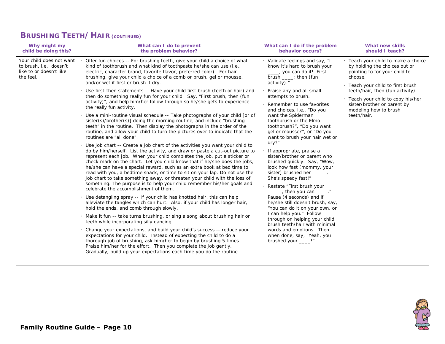#### **BRUSHING TEETH/HAIR (CONTINUED)**

| Why might my                                                                               | What can I do to prevent                                                                                                                                                                                                                                                                                                                                                                                                                                                                                                                                                                                                                                                                                                                                                                                                                                                                                                                                                                                                                                                                                                                                                                                                                                                                                                                                                                                                                                                                                                                                                                                                                                                                                                                                                                                                                                                                                                                                                                                                                                                                                                                                                                                                                                                                                                                          | What can I do if the problem                                                                                                                                                                                                                                                                                                                                                                                                                                                                                                                                                                                                                                                                                                                                                                                                                                                                                                                                    | What new skills                                                                                                                                                                                                                                                                                        |
|--------------------------------------------------------------------------------------------|---------------------------------------------------------------------------------------------------------------------------------------------------------------------------------------------------------------------------------------------------------------------------------------------------------------------------------------------------------------------------------------------------------------------------------------------------------------------------------------------------------------------------------------------------------------------------------------------------------------------------------------------------------------------------------------------------------------------------------------------------------------------------------------------------------------------------------------------------------------------------------------------------------------------------------------------------------------------------------------------------------------------------------------------------------------------------------------------------------------------------------------------------------------------------------------------------------------------------------------------------------------------------------------------------------------------------------------------------------------------------------------------------------------------------------------------------------------------------------------------------------------------------------------------------------------------------------------------------------------------------------------------------------------------------------------------------------------------------------------------------------------------------------------------------------------------------------------------------------------------------------------------------------------------------------------------------------------------------------------------------------------------------------------------------------------------------------------------------------------------------------------------------------------------------------------------------------------------------------------------------------------------------------------------------------------------------------------------------|-----------------------------------------------------------------------------------------------------------------------------------------------------------------------------------------------------------------------------------------------------------------------------------------------------------------------------------------------------------------------------------------------------------------------------------------------------------------------------------------------------------------------------------------------------------------------------------------------------------------------------------------------------------------------------------------------------------------------------------------------------------------------------------------------------------------------------------------------------------------------------------------------------------------------------------------------------------------|--------------------------------------------------------------------------------------------------------------------------------------------------------------------------------------------------------------------------------------------------------------------------------------------------------|
| child be doing this?                                                                       | the problem behavior?                                                                                                                                                                                                                                                                                                                                                                                                                                                                                                                                                                                                                                                                                                                                                                                                                                                                                                                                                                                                                                                                                                                                                                                                                                                                                                                                                                                                                                                                                                                                                                                                                                                                                                                                                                                                                                                                                                                                                                                                                                                                                                                                                                                                                                                                                                                             | behavior occurs?                                                                                                                                                                                                                                                                                                                                                                                                                                                                                                                                                                                                                                                                                                                                                                                                                                                                                                                                                | should I teach?                                                                                                                                                                                                                                                                                        |
| Your child does not want<br>to brush, i.e. doesn't<br>like to or doesn't like<br>the feel. | Offer fun choices -- For brushing teeth, give your child a choice of what<br>kind of toothbrush and what kind of toothpaste he/she can use (i.e.,<br>electric, character brand, favorite flavor, preferred color). For hair<br>brushing, give your child a choice of a comb or brush, gel or mousse,<br>and/or wet it first or brush it dry.<br>Use first-then statements -- Have your child first brush (teeth or hair) and<br>then do something really fun for your child. Say, "First brush, then (fun<br>activity)", and help him/her follow through so he/she gets to experience<br>the really fun activity.<br>Use a mini-routine visual schedule -- Take photographs of your child [or of<br>sister(s)/brother(s)] doing the morning routine, and include "brushing<br>teeth" in the routine. Then display the photographs in the order of the<br>routine, and allow your child to turn the pictures over to indicate that the<br>routines are "all done".<br>Use job chart -- Create a job chart of the activities you want your child to<br>do by him/herself. List the activity, and draw or paste a cut-out picture to<br>represent each job. When your child completes the job, put a sticker or<br>check mark on the chart. Let you child know that if he/she does the jobs,<br>he/she can have a special reward, such as an extra book at bed time to<br>read with you, a bedtime snack, or time to sit on your lap. Do not use the<br>job chart to take something away, or threaten your child with the loss of<br>something. The purpose is to help your child remember his/her goals and<br>celebrate the accomplishment of them.<br>Use detangling spray -- If your child has knotted hair, this can help<br>alleviate the tangles which can hurt. Also, if your child has longer hair,<br>hold the ends, and comb through slowly.<br>Make it fun -- take turns brushing, or sing a song about brushing hair or<br>teeth while incorporating silly dancing.<br>Change your expectations, and build your child's success -- reduce your<br>expectations for your child. Instead of expecting the child to do a<br>thorough job of brushing, ask him/her to begin by brushing 5 times.<br>Praise him/her for the effort. Then you complete the job gently.<br>Gradually, build up your expectations each time you do the routine. | · Validate feelings and say, "I<br>know it's hard to brush your<br>____, you can do it! First<br>brush $\frac{1}{\sqrt{1-\frac{1}{2}}}$ ; then (fun<br>activity)."<br>· Praise any and all small<br>attempts to brush.<br>Remember to use favorites<br>and choices, i.e., "Do you<br>want the Spiderman<br>toothbrush or the Elmo<br>toothbrush?", "Do you want<br>gel or mousse?", or "Do you<br>want to brush your hair wet or<br>dry?"<br>· If appropriate, praise a<br>sister/brother or parent who<br>brushed quickly. Say, "Wow,<br>look how fast (mommy, your<br>sister) brushed her ______.<br>She's speedy fast!"<br>Restate "First brush your<br>then you can _____."<br>Pause (4 seconds) and if<br>he/she still doesn't brush, say,<br>"You can do it on your own, or<br>I can help you." Follow<br>through on helping your child<br>brush teeth/hair with minimal<br>words and emotions. Then<br>when done, say, "Yeah, you<br>brushed your ____!" | · Teach your child to make a choice<br>by holding the choices out or<br>pointing to for your child to<br>choose.<br>· Teach your child to first brush<br>teeth/hair, then (fun activity).<br>· Teach your child to copy his/her<br>sister/brother or parent by<br>modeling how to brush<br>teeth/hair. |

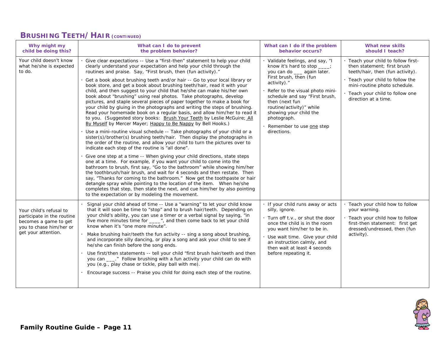#### **BRUSHING TEETH/HAIR (CONTINUED)**

| Why might my<br>child be doing this?                                                                                             | What can I do to prevent<br>the problem behavior?                                                                                                                                                                                                                                                                                                                                                                                                                                                                                                                                                                                                                                                                                                                                                                                                                                                                                                                                                                                                                                                                                                                                                                                                                                                                                                                                                                                                                                                                                                                                                                                                                                                                                                                                                            | What can I do if the problem<br>behavior occurs?                                                                                                                                                                                                                                                                                               | <b>What new skills</b><br>should I teach?                                                                                                                                                                                        |
|----------------------------------------------------------------------------------------------------------------------------------|--------------------------------------------------------------------------------------------------------------------------------------------------------------------------------------------------------------------------------------------------------------------------------------------------------------------------------------------------------------------------------------------------------------------------------------------------------------------------------------------------------------------------------------------------------------------------------------------------------------------------------------------------------------------------------------------------------------------------------------------------------------------------------------------------------------------------------------------------------------------------------------------------------------------------------------------------------------------------------------------------------------------------------------------------------------------------------------------------------------------------------------------------------------------------------------------------------------------------------------------------------------------------------------------------------------------------------------------------------------------------------------------------------------------------------------------------------------------------------------------------------------------------------------------------------------------------------------------------------------------------------------------------------------------------------------------------------------------------------------------------------------------------------------------------------------|------------------------------------------------------------------------------------------------------------------------------------------------------------------------------------------------------------------------------------------------------------------------------------------------------------------------------------------------|----------------------------------------------------------------------------------------------------------------------------------------------------------------------------------------------------------------------------------|
| Your child doesn't know<br>what he/she is expected<br>to do.                                                                     | Give clear expectations -- Use a "first-then" statement to help your child<br>clearly understand your expectation and help your child through the<br>routines and praise. Say, "First brush, then (fun activity)."<br>Get a book about brushing teeth and/or hair -- Go to your local library or<br>book store, and get a book about brushing teeth/hair, read it with your<br>child, and then suggest to your child that he/she can make his/her own<br>book about "brushing" using real photos. Take photographs, develop<br>pictures, and staple several pieces of paper together to make a book for<br>your child by gluing in the photographs and writing the steps of brushing.<br>Read your homemade book on a regular basis, and allow him/her to read it<br>to you. (Suggested story books: Brush Your Teeth by Leslie McGuire; All<br>By Myself by Mercer Mayer; Happy to Be Nappy by Bell Hooks.)<br>Use a mini-routine visual schedule -- Take photographs of your child or a<br>sister(s)/brother(s) brushing teeth/hair. Then display the photographs in<br>the order of the routine, and allow your child to turn the pictures over to<br>indicate each step of the routine is "all done".<br>Give one step at a time -- When giving your child directions, state steps<br>one at a time. For example, if you want your child to come into the<br>bathroom to brush, first say, "Go to the bathroom" while showing him/her<br>the toothbrush/hair brush, and wait for 4 seconds and then restate. Then<br>say, "Thanks for coming to the bathroom." Now get the toothpaste or hair<br>detangle spray while pointing to the location of the item. When he/she<br>completes that step, then state the next, and cue him/her by also pointing<br>to the expectation or by modeling the movement. | · Validate feelings, and say, "I<br>know it's hard to stop ___;<br>you can do ___ again later.<br>First brush, then (fun<br>activity)."<br>Refer to the visual photo mini-<br>schedule and say "First brush,<br>then (next fun<br>routine/activity)" while<br>showing your child the<br>photograph.<br>Remember to use one step<br>directions. | Teach your child to follow first-<br>then statement; first brush<br>teeth/hair, then (fun activity).<br>Teach your child to follow the<br>mini-routine photo schedule.<br>Teach your child to follow one<br>direction at a time. |
| Your child's refusal to<br>participate in the routine<br>becomes a game to get<br>you to chase him/her or<br>get your attention. | Signal your child ahead of time -- Use a "warning" to let your child know<br>that it will soon be time to "stop" and to brush hair/teeth. Depending on<br>your child's ability, you can use a timer or a verbal signal by saying, "in<br>five more minutes time for ____", and then come back to let your child<br>know when it's "one more minute".<br>Make brushing hair/teeth the fun activity -- sing a song about brushing,<br>and incorporate silly dancing, or play a song and ask your child to see if<br>he/she can finish before the song ends.<br>Use first/then statements -- tell your child "first brush hair/teeth and then<br>you can ____." Follow brushing with a fun activity your child can do with<br>you (e.g., play chase or tickle, play ball with me).<br>Encourage success -- Praise you child for doing each step of the routine.                                                                                                                                                                                                                                                                                                                                                                                                                                                                                                                                                                                                                                                                                                                                                                                                                                                                                                                                                 | · If your child runs away or acts<br>silly, ignore.<br>. Turn off t.v., or shut the door<br>once the child is in the room<br>you want him/her to be in.<br>Use wait time. Give your child<br>an instruction calmly, and<br>then wait at least 4 seconds<br>before repeating it.                                                                | Teach your child how to follow<br>your warning.<br>. Teach your child how to follow<br>first-then statement: first get<br>dressed/undressed, then (fun<br>activity).                                                             |

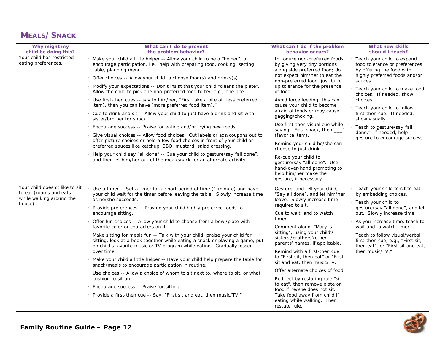#### **MEALS/SNACK**

| Why might my<br>child be doing this?                                                            | What can I do to prevent<br>the problem behavior?                                                                                                                                                                                                                                                                                                                                                                                                                                                                                                                                                                                                                                                                                                                                                                                                                                                                                                                                                                   | What can I do if the problem<br>behavior occurs?                                                                                                                                                                                                                                                                                                                                                                                                                                                                                                                                                                 | <b>What new skills</b><br>should I teach?                                                                                                                                                                                                                                                                                                         |                                                                                                                                        |
|-------------------------------------------------------------------------------------------------|---------------------------------------------------------------------------------------------------------------------------------------------------------------------------------------------------------------------------------------------------------------------------------------------------------------------------------------------------------------------------------------------------------------------------------------------------------------------------------------------------------------------------------------------------------------------------------------------------------------------------------------------------------------------------------------------------------------------------------------------------------------------------------------------------------------------------------------------------------------------------------------------------------------------------------------------------------------------------------------------------------------------|------------------------------------------------------------------------------------------------------------------------------------------------------------------------------------------------------------------------------------------------------------------------------------------------------------------------------------------------------------------------------------------------------------------------------------------------------------------------------------------------------------------------------------------------------------------------------------------------------------------|---------------------------------------------------------------------------------------------------------------------------------------------------------------------------------------------------------------------------------------------------------------------------------------------------------------------------------------------------|----------------------------------------------------------------------------------------------------------------------------------------|
| Your child has restricted<br>eating preferences.                                                | Make your child a little helper -- Allow your child to be a "helper" to<br>encourage participation, i.e., help with preparing food, cooking, setting<br>table, planning menu.<br>Offer choices -- Allow your child to choose food(s) and drinks(s).                                                                                                                                                                                                                                                                                                                                                                                                                                                                                                                                                                                                                                                                                                                                                                 | by giving very tiny portions<br>along side preferred food; do<br>not expect him/her to eat the                                                                                                                                                                                                                                                                                                                                                                                                                                                                                                                   | Introduce non-preferred foods<br>non-preferred food, just build                                                                                                                                                                                                                                                                                   | · Teach your child to expand<br>food tolerance or preferences<br>by offering the food with<br>highly preferred foods and/or<br>sauces. |
|                                                                                                 | Modify your expectations -- Don't insist that your child "cleans the plate".<br>Allow the child to pick one non-preferred food to try, e.g., one bite.<br>Use first-then cues -- say to him/her, "First take a bite of (less preferred<br>item), then you can have (more preferred food item)."<br>Cue to drink and sit -- Allow your child to just have a drink and sit with<br>sister/brother for snack.<br>Encourage success -- Praise for eating and/or trying new foods.<br>Give visual choices -- Allow food choices. Cut labels or ads/coupons out to<br>offer picture choices or hold a few food choices in front of your child or<br>preferred sauces like ketchup, BBQ, mustard, salad dressing.<br>Help your child say "all done" -- Cue your child to gesture/say "all done",<br>and then let him/her out of the meal/snack for an alternate activity.                                                                                                                                                  | up tolerance for the presence<br>of food.<br>Avoid force feeding; this can<br>cause your child to become<br>afraid of foods or may cause<br>gagging/choking.<br>Use first-then visual cue while<br>saying, "First snack, then ___"<br>(favorite item).<br>Remind your child he/she can<br>choose to just drink.<br>Re-cue your child to<br>gesture/say "all done". Use<br>hand-over-hand prompting to<br>help him/her make the<br>gesture, if necessary.                                                                                                                                                         | · Teach your child to make food<br>choices. If needed, show<br>choices.<br>· Teach your child to follow<br>first-then cue. If needed,<br>show visually.<br>· Teach to gesture/say "all<br>done." If needed, help<br>gesture to encourage success.                                                                                                 |                                                                                                                                        |
| Your child doesn't like to sit<br>to eat (roams and eats<br>while walking around the<br>house). | Use a timer -- Set a timer for a short period of time (1 minute) and have<br>your child wait for the timer before leaving the table. Slowly increase time<br>as he/she succeeds.<br>Provide preferences -- Provide your child highly preferred foods to<br>encourage sitting.<br>Offer fun choices -- Allow your child to choose from a bowl/plate with<br>favorite color or characters on it.<br>Make sitting for meals fun -- Talk with your child, praise your child for<br>sitting, look at a book together while eating a snack or playing a game, put<br>on child's favorite music or TV program while eating. Gradually lessen<br>over time.<br>Make your child a little helper -- Have your child help prepare the table for<br>snack/meals to encourage participation in routine.<br>Use choices -- Allow a choice of whom to sit next to, where to sit, or what<br>cushion to sit on.<br>Encourage success -- Praise for sitting.<br>Provide a first-then cue -- Say, "First sit and eat, then music/TV." | Gesture, and tell your child,<br>"Say all done", and let him/her<br>leave. Slowly increase time<br>required to sit.<br>Cue to wait, and to watch<br>timer.<br>Comment aloud, "Mary is<br>sitting"; using your child's<br>sisters'/brothers'/other<br>parents' names, if applicable.<br>Remind with a first-then cue<br>to "First sit, then eat" or "First<br>sit and eat, then music/TV."<br>Offer alternate choices of food.<br>Redirect by restating rule "sit<br>to eat", then remove plate or<br>food if he/she does not sit.<br>Take food away from child if<br>eating while walking. Then<br>restate rule. | · Teach your child to sit to eat<br>by embedding choices.<br>· Teach your child to<br>gesture/say "all done", and let<br>out. Slowly increase time.<br>As you increase time, teach to<br>wait and to watch timer.<br>· Teach to follow visual/verbal<br>first-then cue, e.g., "First sit,<br>then eat", or "First sit and eat,<br>then music/TV." |                                                                                                                                        |

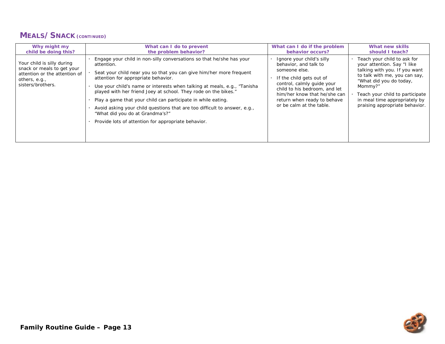#### **MEALS/SNACK (CONTINUED)**

| Why might my                                                                                                                    | What can I do to prevent                                                                                                                                                                                                                                                                                                                                                                                                                                                                                                                                                                | What can I do if the problem                                                                                                                                                                                                                              | What new skills                                                                                                                                                                                                                                                          |
|---------------------------------------------------------------------------------------------------------------------------------|-----------------------------------------------------------------------------------------------------------------------------------------------------------------------------------------------------------------------------------------------------------------------------------------------------------------------------------------------------------------------------------------------------------------------------------------------------------------------------------------------------------------------------------------------------------------------------------------|-----------------------------------------------------------------------------------------------------------------------------------------------------------------------------------------------------------------------------------------------------------|--------------------------------------------------------------------------------------------------------------------------------------------------------------------------------------------------------------------------------------------------------------------------|
| child be doing this?                                                                                                            | the problem behavior?                                                                                                                                                                                                                                                                                                                                                                                                                                                                                                                                                                   | behavior occurs?                                                                                                                                                                                                                                          | should I teach?                                                                                                                                                                                                                                                          |
| Your child is silly during<br>snack or meals to get your<br>attention or the attention of<br>others, e.g.,<br>sisters/brothers. | Engage your child in non-silly conversations so that he/she has your<br>attention.<br>Seat your child near you so that you can give him/her more frequent<br>attention for appropriate behavior.<br>Use your child's name or interests when talking at meals, e.g., "Tanisha"<br>played with her friend Joey at school. They rode on the bikes."<br>Play a game that your child can participate in while eating.<br>Avoid asking your child questions that are too difficult to answer, e.g.,<br>"What did you do at Grandma's?"<br>Provide lots of attention for appropriate behavior. | Ignore your child's silly<br>behavior, and talk to<br>someone else.<br>If the child gets out of<br>control, calmly quide your<br>child to his bedroom, and let<br>him/her know that he/she can<br>return when ready to behave<br>or be calm at the table. | Teach your child to ask for<br>your attention. Say "I like<br>talking with you. If you want<br>to talk with me, you can say,<br>"What did you do today,<br>Mommy?"<br>Teach your child to participate<br>in meal time appropriately by<br>praising appropriate behavior. |

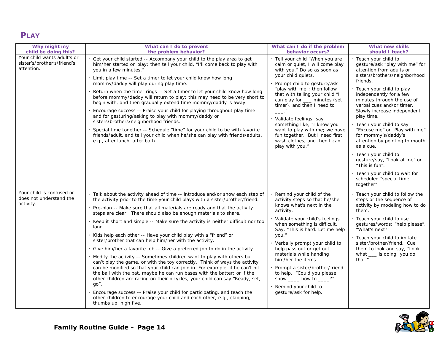# **PLAY**

| Why might my                                                             | What can I do to prevent                                                                                                                                                                                                                                                                                                                                                                                                                                                                                                                                                                                                                                                                                                                                                                                                                                                                                                                                                                                                                                                                                                                                                                                                      | What can I do if the problem                                                                                                                                                                                                                                                                                                                                                                                                                                                         | What new skills                                                                                                                                                                                                                                                                                                                                                                                                                                                                                                                                                                             |
|--------------------------------------------------------------------------|-------------------------------------------------------------------------------------------------------------------------------------------------------------------------------------------------------------------------------------------------------------------------------------------------------------------------------------------------------------------------------------------------------------------------------------------------------------------------------------------------------------------------------------------------------------------------------------------------------------------------------------------------------------------------------------------------------------------------------------------------------------------------------------------------------------------------------------------------------------------------------------------------------------------------------------------------------------------------------------------------------------------------------------------------------------------------------------------------------------------------------------------------------------------------------------------------------------------------------|--------------------------------------------------------------------------------------------------------------------------------------------------------------------------------------------------------------------------------------------------------------------------------------------------------------------------------------------------------------------------------------------------------------------------------------------------------------------------------------|---------------------------------------------------------------------------------------------------------------------------------------------------------------------------------------------------------------------------------------------------------------------------------------------------------------------------------------------------------------------------------------------------------------------------------------------------------------------------------------------------------------------------------------------------------------------------------------------|
| child be doing this?                                                     | the problem behavior?                                                                                                                                                                                                                                                                                                                                                                                                                                                                                                                                                                                                                                                                                                                                                                                                                                                                                                                                                                                                                                                                                                                                                                                                         | behavior occurs?                                                                                                                                                                                                                                                                                                                                                                                                                                                                     | should I teach?                                                                                                                                                                                                                                                                                                                                                                                                                                                                                                                                                                             |
| Your child wants adult's or<br>sister's/brother's/friend's<br>attention. | Get your child started -- Accompany your child to the play area to get<br>him/her started on play; then tell your child, "I'll come back to play with<br>you in a few minutes."<br>Limit play time -- Set a timer to let your child know how long<br>mommy/daddy will play during play time.<br>Return when the timer rings -- Set a timer to let your child know how long<br>before mommy/daddy will return to play; this may need to be very short to<br>begin with, and then gradually extend time mommy/daddy is away.<br>Encourage success -- Praise your child for playing throughout play time<br>and for gesturing/asking to play with mommy/daddy or<br>sisters/brothers/neighborhood friends.<br>Special time together -- Schedule "time" for your child to be with favorite<br>friends/adult, and tell your child when he/she can play with friends/adults,<br>e.g., after lunch, after bath.                                                                                                                                                                                                                                                                                                                      | · Tell your child "When you are<br>calm or quiet, I will come play<br>with you." Do so as soon as<br>your child quiets.<br>Prompt child to gesture/ask<br>"play with me"; then follow<br>that with telling your child "I<br>can play for ___ minutes (set<br>timer), and then I need to<br>Validate feelings; say<br>something like, "I know you<br>want to play with me; we have<br>fun together. But I need first<br>wash clothes, and then I can<br>play with you."               | · Teach your child to<br>gesture/ask "play with me" for<br>attention from adults or<br>sisters/brothers/neighborhood<br>friends.<br>· Teach your child to play<br>independently for a few<br>minutes through the use of<br>verbal cues and/or timer.<br>Slowly increase independent<br>play time.<br>· Teach your child to say<br>"Excuse me" or "Play with me"<br>for mommy's/daddy's<br>attention by pointing to mouth<br>as a cue.<br>· Teach your child to<br>gesture/say, "Look at me" or<br>"This is fun".<br>· Teach your child to wait for<br>scheduled "special time<br>together". |
| Your child is confused or<br>does not understand the<br>activity.        | · Talk about the activity ahead of time -- introduce and/or show each step of<br>the activity prior to the time your child plays with a sister/brother/friend.<br>· Pre-plan -- Make sure that all materials are ready and that the activity<br>steps are clear. There should also be enough materials to share.<br>. Keep it short and simple -- Make sure the activity is neither difficult nor too<br>long.<br>· Kids help each other -- Have your child play with a "friend" or<br>sister/brother that can help him/her with the activity.<br>· Give him/her a favorite job -- Give a preferred job to do in the activity.<br>. Modify the activity -- Sometimes children want to play with others but<br>can't play the game, or with the toy correctly. Think of ways the activity<br>can be modified so that your child can join in. For example, if he can't hit<br>the ball with the bat, maybe he can run bases with the batter; or if the<br>other children are racing on their bicycles, your child can say "Ready, set,<br>$qo$ ".<br>Encourage success -- Praise your child for participating, and teach the<br>other children to encourage your child and each other, e.g., clapping,<br>thumbs up, high five. | Remind your child of the<br>activity steps so that he/she<br>knows what's next in the<br>activity.<br>Validate your child's feelings<br>when something is difficult.<br>Say, "This is hard. Let me help<br>you."<br>Verbally prompt your child to<br>help pass out or get out<br>materials while handing<br>him/her the items.<br>Prompt a sister/brother/friend<br>to help. "Could you please<br>show $\_\_\_\$ how to $\_\_\$ ?''<br>Remind your child to<br>gesture/ask for help. | · Teach your child to follow the<br>steps or the sequence of<br>activity by modeling how to do<br>them.<br>· Teach your child to use<br>gestures/words: "help please",<br>"What's next?"<br>· Teach your child to imitate<br>sister/brother/friend. Cue<br>them to look and say, "Look<br>what ___ is doing; you do<br>that."                                                                                                                                                                                                                                                               |

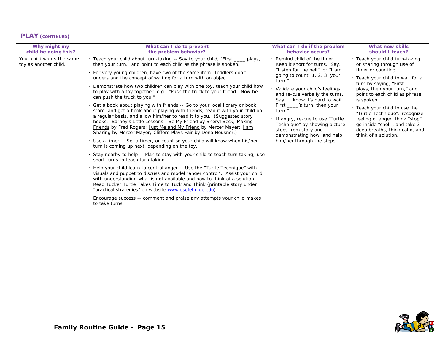#### **PLAY (CONTINUED)**

| Why might my                                       | What can I do to prevent                                                                                                                                                                                                                                                                                                                                                                                                                                                                                                                                                                                                                                                                                                                                                                                                                                                                                                                                                                                                                                                                                                                                                                                                                                                                                                                                                                                                                                                                                                                                                                                                                                                  | What can I do if the problem                                                                                                                                                                                                                                                                                                                                                                                                                                | What new skills                                                                                                                                                                                                                                                                                                                                                                                                                 |
|----------------------------------------------------|---------------------------------------------------------------------------------------------------------------------------------------------------------------------------------------------------------------------------------------------------------------------------------------------------------------------------------------------------------------------------------------------------------------------------------------------------------------------------------------------------------------------------------------------------------------------------------------------------------------------------------------------------------------------------------------------------------------------------------------------------------------------------------------------------------------------------------------------------------------------------------------------------------------------------------------------------------------------------------------------------------------------------------------------------------------------------------------------------------------------------------------------------------------------------------------------------------------------------------------------------------------------------------------------------------------------------------------------------------------------------------------------------------------------------------------------------------------------------------------------------------------------------------------------------------------------------------------------------------------------------------------------------------------------------|-------------------------------------------------------------------------------------------------------------------------------------------------------------------------------------------------------------------------------------------------------------------------------------------------------------------------------------------------------------------------------------------------------------------------------------------------------------|---------------------------------------------------------------------------------------------------------------------------------------------------------------------------------------------------------------------------------------------------------------------------------------------------------------------------------------------------------------------------------------------------------------------------------|
| child be doing this?                               | the problem behavior?                                                                                                                                                                                                                                                                                                                                                                                                                                                                                                                                                                                                                                                                                                                                                                                                                                                                                                                                                                                                                                                                                                                                                                                                                                                                                                                                                                                                                                                                                                                                                                                                                                                     | behavior occurs?                                                                                                                                                                                                                                                                                                                                                                                                                                            | should I teach?                                                                                                                                                                                                                                                                                                                                                                                                                 |
| Your child wants the same<br>toy as another child. | · Teach your child about turn-taking -- Say to your child, "First ____ plays,<br>then your turn," and point to each child as the phrase is spoken.<br>. For very young children, have two of the same item. Toddlers don't<br>understand the concept of waiting for a turn with an object.<br>Demonstrate how two children can play with one toy, teach your child how<br>to play with a toy together, e.g., "Push the truck to your friend. Now he<br>can push the truck to you."<br>. Get a book about playing with friends -- Go to your local library or book<br>store, and get a book about playing with friends, read it with your child on<br>a regular basis, and allow him/her to read it to you. (Suggested story<br>books: Barney's Little Lessons: Be My Friend by Sheryl Beck; Making<br>Friends by Fred Rogers; Just Me and My Friend by Mercer Mayer; Lam<br>Sharing by Mercer Mayer; Clifford Plays Fair by Dena Neusner.)<br>· Use a timer -- Set a timer, or count so your child will know when his/her<br>turn is coming up next, depending on the toy.<br>Stay nearby to help -- Plan to stay with your child to teach turn taking; use<br>short turns to teach turn taking.<br>. Help your child learn to control anger -- Use the "Turtle Technique" with<br>visuals and puppet to discuss and model "anger control". Assist your child<br>with understanding what is not available and how to think of a solution.<br>Read Tucker Turtle Takes Time to Tuck and Think (printable story under<br>"practical strategies" on website www.csefel.uiuc.edu).<br>Encourage success -- comment and praise any attempts your child makes<br>to take turns. | Remind child of the timer.<br>Keep it short for turns. Say,<br>"Listen for the bell", or "I am<br>going to count; 1, 2, 3, your<br>turn."<br>· Validate your child's feelings,<br>and re-cue verbally the turns.<br>Say, "I know it's hard to wait.<br>First _____ 's turn, then your<br>turn."<br>. If angry, re-cue to use "Turtle"<br>Technique" by showing picture<br>steps from story and<br>demonstrating how, and help<br>him/her through the steps. | · Teach your child turn-taking<br>or sharing through use of<br>timer or counting.<br>· Teach your child to wait for a<br>turn by saying, "First ____<br>plays, then your turn," and<br>point to each child as phrase<br>is spoken.<br>Teach your child to use the<br>"Turtle Technique": recognize<br>feeling of anger, think "stop",<br>go inside "shell", and take 3<br>deep breaths, think calm, and<br>think of a solution. |

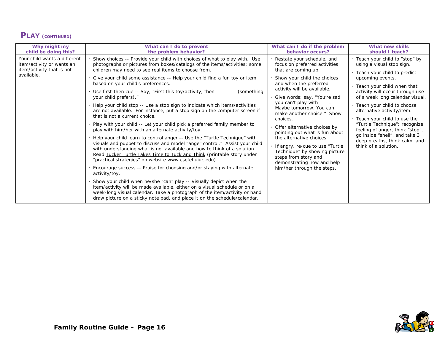# **PLAY (CONTINUED)**

| Why might my                                                                                         | What can I do to prevent                                                                                                                                                                                                                                                                                                                                                                                                                                                                                                                                                                                                                                                                                                                                                                                                                                                                                                                                                                                                                                                                                                                                                                                                                                                                                                                                                                                                                                                                                                                                              | What can I do if the problem                                                                                                                                                                                                                                                                                                                                                                                                                                                                                                                                       | What new skills                                                                                                                                                                                                                                                                                                                                                                                                                                                                      |
|------------------------------------------------------------------------------------------------------|-----------------------------------------------------------------------------------------------------------------------------------------------------------------------------------------------------------------------------------------------------------------------------------------------------------------------------------------------------------------------------------------------------------------------------------------------------------------------------------------------------------------------------------------------------------------------------------------------------------------------------------------------------------------------------------------------------------------------------------------------------------------------------------------------------------------------------------------------------------------------------------------------------------------------------------------------------------------------------------------------------------------------------------------------------------------------------------------------------------------------------------------------------------------------------------------------------------------------------------------------------------------------------------------------------------------------------------------------------------------------------------------------------------------------------------------------------------------------------------------------------------------------------------------------------------------------|--------------------------------------------------------------------------------------------------------------------------------------------------------------------------------------------------------------------------------------------------------------------------------------------------------------------------------------------------------------------------------------------------------------------------------------------------------------------------------------------------------------------------------------------------------------------|--------------------------------------------------------------------------------------------------------------------------------------------------------------------------------------------------------------------------------------------------------------------------------------------------------------------------------------------------------------------------------------------------------------------------------------------------------------------------------------|
| child be doing this?                                                                                 | the problem behavior?                                                                                                                                                                                                                                                                                                                                                                                                                                                                                                                                                                                                                                                                                                                                                                                                                                                                                                                                                                                                                                                                                                                                                                                                                                                                                                                                                                                                                                                                                                                                                 | behavior occurs?                                                                                                                                                                                                                                                                                                                                                                                                                                                                                                                                                   | should I teach?                                                                                                                                                                                                                                                                                                                                                                                                                                                                      |
| Your child wants a different<br>item/activity or wants an<br>item/activity that is not<br>available. | Show choices -- Provide your child with choices of what to play with. Use<br>photographs or pictures from boxes/catalogs of the items/activities; some<br>children may need to see real items to choose from.<br>Give your child some assistance -- Help your child find a fun toy or item<br>based on your child's preferences.<br>. Use first-then cue -- Say, "First this toy/activity, then ______<br>(something<br>your child prefers)."<br>· Help your child stop -- Use a stop sign to indicate which items/activities<br>are not available. For instance, put a stop sign on the computer screen if<br>that is not a current choice.<br>· Play with your child -- Let your child pick a preferred family member to<br>play with him/her with an alternate activity/toy.<br>· Help your child learn to control anger -- Use the "Turtle Technique" with<br>visuals and puppet to discuss and model "anger control." Assist your child<br>with understanding what is not available and how to think of a solution.<br>Read Tucker Turtle Takes Time to Tuck and Think (printable story under<br>"practical strategies" on website www.csefel.uiuc.edu).<br>Encourage success -- Praise for choosing and/or staying with alternate<br>activity/toy.<br>Show your child when he/she "can" play -- Visually depict when the<br>item/activity will be made available, either on a visual schedule or on a<br>week-long visual calendar. Take a photograph of the item/activity or hand<br>draw picture on a sticky note pad, and place it on the schedule/calendar. | Restate your schedule, and<br>focus on preferred activities<br>that are coming up.<br>Show your child the choices<br>and when the preferred<br>activity will be available.<br>Give words: say, "You're sad<br>you can't play with_____.<br>Maybe tomorrow. You can<br>make another choice." Show<br>choices.<br>Offer alternative choices by<br>pointing out what is fun about<br>the alternative choices.<br>If angry, re-cue to use "Turtle<br>Technique" by showing picture<br>steps from story and<br>demonstrating how and help<br>him/her through the steps. | · Teach your child to "stop" by<br>using a visual stop sign.<br>· Teach your child to predict<br>upcoming events.<br>. Teach your child when that<br>activity will occur through use<br>of a week long calendar visual.<br>· Teach your child to choose<br>alternative activity/item.<br>. Teach your child to use the<br>"Turtle Technique": recognize<br>feeling of anger, think "stop",<br>go inside "shell", and take 3<br>deep breaths, think calm, and<br>think of a solution. |

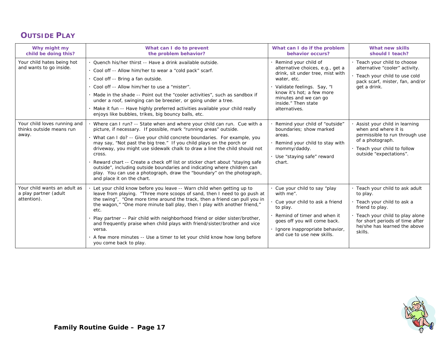# **OUTSIDE PLAY**

| Why might my<br>child be doing this?                                 | What can I do to prevent<br>the problem behavior?                                                                                                                                                                                                                                                                                                                                                                                                                                                                                                                                                                                                            | What can I do if the problem<br>behavior occurs?                                                                                                                                                                                        | What new skills<br>should I teach?                                                                                                                                                                              |
|----------------------------------------------------------------------|--------------------------------------------------------------------------------------------------------------------------------------------------------------------------------------------------------------------------------------------------------------------------------------------------------------------------------------------------------------------------------------------------------------------------------------------------------------------------------------------------------------------------------------------------------------------------------------------------------------------------------------------------------------|-----------------------------------------------------------------------------------------------------------------------------------------------------------------------------------------------------------------------------------------|-----------------------------------------------------------------------------------------------------------------------------------------------------------------------------------------------------------------|
| Your child hates being hot<br>and wants to go inside.                | · Quench his/her thirst -- Have a drink available outside.<br>. Cool off -- Allow him/her to wear a "cold pack" scarf.<br>· Cool off -- Bring a fan outside.<br>. Cool off -- Allow him/her to use a "mister".<br>. Made in the shade -- Point out the "cooler activities", such as sandbox if<br>under a roof, swinging can be breezier, or going under a tree.<br>· Make it fun -- Have highly preferred activities available your child really<br>enjoys like bubbles, trikes, big bouncy balls, etc.                                                                                                                                                     | Remind your child of<br>alternative choices, e.g., get a<br>drink, sit under tree, mist with<br>water, etc.<br>Validate feelings. Say, "I<br>know it's hot: a few more<br>minutes and we can go<br>inside." Then state<br>alternatives. | · Teach your child to choose<br>alternative "cooler" activity.<br>· Teach your child to use cold<br>pack scarf, mister, fan, and/or<br>get a drink.                                                             |
| Your child loves running and<br>thinks outside means run<br>away.    | Where can I run? -- State when and where your child can run. Cue with a<br>picture, if necessary. If possible, mark "running areas" outside.<br>What can I do? -- Give your child concrete boundaries. For example, you<br>may say, "Not past the big tree." If you child plays on the porch or<br>driveway, you might use sidewalk chalk to draw a line the child should not<br>cross.<br>Reward chart -- Create a check off list or sticker chart about "staying safe"<br>outside", including outside boundaries and indicating where children can<br>play. You can use a photograph, draw the "boundary" on the photograph,<br>and place it on the chart. | Remind your child of "outside"<br>boundaries: show marked<br>areas.<br>Remind your child to stay with<br>mommy/daddy.<br>Use "staying safe" reward<br>chart.                                                                            | Assist your child in learning<br>when and where it is<br>permissible to run through use<br>of a photograph.<br>· Teach your child to follow<br>outside "expectations".                                          |
| Your child wants an adult as<br>a play partner (adult<br>attention). | Let your child know before you leave -- Warn child when getting up to<br>leave from playing. "Three more scoops of sand, then I need to go push at<br>the swing", "One more time around the track, then a friend can pull you in<br>the wagon," "One more minute ball play, then I play with another friend,"<br>etc.<br>Play partner -- Pair child with neighborhood friend or older sister/brother,<br>and frequently praise when child plays with friend/sister/brother and vice<br>versa.<br>A few more minutes -- Use a timer to let your child know how long before<br>you come back to play.                                                          | Cue your child to say "play<br>with me".<br>Cue your child to ask a friend<br>to play.<br>Remind of timer and when it<br>goes off you will come back.<br>Ignore inappropriate behavior,<br>and cue to use new skills.                   | · Teach your child to ask adult<br>to play.<br>· Teach your child to ask a<br>friend to play.<br>· Teach your child to play alone<br>for short periods of time after<br>he/she has learned the above<br>skills. |

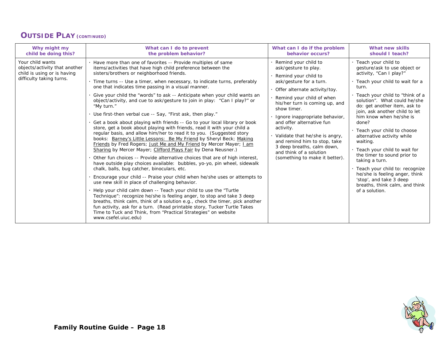#### **OUTSIDE PLAY (CONTINUED)**

| Why might my                                                                                                 | What can I do to prevent                                                                                                                                                                                                                                                                                                                                                                                                                                                                                                                                                                                                                                                                                                                                                                                                                                                                                                                                                                                                                                                                                                                                                                                                                                                                                                                                                                                                                                                                                                                                                                                                                                                                                                                             | What can I do if the problem                                                                                                                                                                                                                                                                                                                                                                                                                                  | What new skills                                                                                                                                                                                                                                                                                                                                                                                                                                                                                                                                                                                                            |
|--------------------------------------------------------------------------------------------------------------|------------------------------------------------------------------------------------------------------------------------------------------------------------------------------------------------------------------------------------------------------------------------------------------------------------------------------------------------------------------------------------------------------------------------------------------------------------------------------------------------------------------------------------------------------------------------------------------------------------------------------------------------------------------------------------------------------------------------------------------------------------------------------------------------------------------------------------------------------------------------------------------------------------------------------------------------------------------------------------------------------------------------------------------------------------------------------------------------------------------------------------------------------------------------------------------------------------------------------------------------------------------------------------------------------------------------------------------------------------------------------------------------------------------------------------------------------------------------------------------------------------------------------------------------------------------------------------------------------------------------------------------------------------------------------------------------------------------------------------------------------|---------------------------------------------------------------------------------------------------------------------------------------------------------------------------------------------------------------------------------------------------------------------------------------------------------------------------------------------------------------------------------------------------------------------------------------------------------------|----------------------------------------------------------------------------------------------------------------------------------------------------------------------------------------------------------------------------------------------------------------------------------------------------------------------------------------------------------------------------------------------------------------------------------------------------------------------------------------------------------------------------------------------------------------------------------------------------------------------------|
| child be doing this?                                                                                         | the problem behavior?                                                                                                                                                                                                                                                                                                                                                                                                                                                                                                                                                                                                                                                                                                                                                                                                                                                                                                                                                                                                                                                                                                                                                                                                                                                                                                                                                                                                                                                                                                                                                                                                                                                                                                                                | behavior occurs?                                                                                                                                                                                                                                                                                                                                                                                                                                              | should I teach?                                                                                                                                                                                                                                                                                                                                                                                                                                                                                                                                                                                                            |
| Your child wants<br>objects/activity that another<br>child is using or is having<br>difficulty taking turns. | Have more than one of favorites -- Provide multiples of same<br>items/activities that have high child preference between the<br>sisters/brothers or neighborhood friends.<br>· Time turns -- Use a timer, when necessary, to indicate turns, preferably<br>one that indicates time passing in a visual manner.<br>Give your child the "words" to ask -- Anticipate when your child wants an<br>object/activity, and cue to ask/gesture to join in play: "Can I play?" or<br>"My turn."<br>. Use first-then verbal cue -- Say, "First ask, then play."<br>Get a book about playing with friends -- Go to your local library or book<br>store, get a book about playing with friends, read it with your child a<br>regular basis, and allow him/her to read it to you. (Suggested story<br>books: Barney's Little Lessons: Be My Friend by Sheryl Beck; Making<br>Friends by Fred Rogers; Just Me and My Friend by Mercer Mayer; I am<br>Sharing by Mercer Mayer; Clifford Plays Fair by Dena Neusner.)<br>Other fun choices -- Provide alternative choices that are of high interest,<br>have outside play choices available: bubbles, yo-yo, pin wheel, sidewalk<br>chalk, balls, bug catcher, binoculars, etc.<br>Encourage your child -- Praise your child when he/she uses or attempts to<br>use new skill in place of challenging behavior.<br>Help your child calm down -- Teach your child to use the "Turtle"<br>Technique": recognize he/she is feeling anger, to stop and take 3 deep<br>breaths, think calm, think of a solution e.g., check the timer, pick another<br>fun activity, ask for a turn. (Read printable story, Tucker Turtle Takes<br>Time to Tuck and Think, from "Practical Strategies" on website<br>www.csefel.uiuc.edu) | Remind your child to<br>ask/gesture to play.<br>· Remind your child to<br>ask/gesture for a turn.<br>· Offer alternate activity/toy.<br>Remind your child of when<br>his/her turn is coming up, and<br>show timer.<br>Ignore inappropriate behavior,<br>and offer alternative fun<br>activity.<br>· Validate that he/she is angry,<br>and remind him to stop, take<br>3 deep breaths, calm down,<br>and think of a solution<br>(something to make it better). | · Teach your child to<br>gesture/ask to use object or<br>activity, "Can I play?"<br>· Teach your child to wait for a<br>turn.<br>· Teach your child to "think of a<br>solution". What could he/she<br>do: get another item, ask to<br>join, ask another child to let<br>him know when he/she is<br>done?<br>. Teach your child to choose<br>alternative activity while<br>waiting.<br>. Teach your child to wait for<br>the timer to sound prior to<br>taking a turn.<br>· Teach your child to: recognize<br>he/she is feeling anger, think<br>'stop', and take 3 deep<br>breaths, think calm, and think<br>of a solution. |

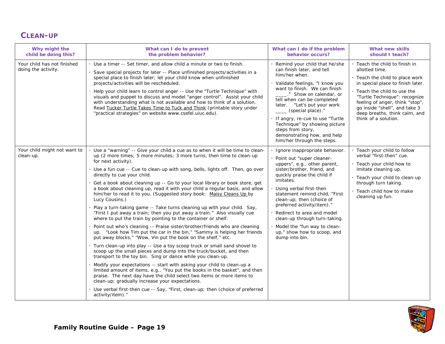#### **CLEAN-UP**

| Why might the<br>child be doing this?              | What can I do to prevent<br>the problem behavior?                                                                                                                                                                                                                                                                                                                                                                                                                                                                                                                                                                                                                                                                                                                                                                                                                                                                                                                                                                                                                                                                                                                                                                                                                                                                                                                                                                                                                                                                                                                                                                           | What can I do if the problem<br>behavior occurs?                                                                                                                                                                                                                                                                                                                                                                                               | What new skills<br>should I teach?                                                                                                                                                                                                                                                                                 |
|----------------------------------------------------|-----------------------------------------------------------------------------------------------------------------------------------------------------------------------------------------------------------------------------------------------------------------------------------------------------------------------------------------------------------------------------------------------------------------------------------------------------------------------------------------------------------------------------------------------------------------------------------------------------------------------------------------------------------------------------------------------------------------------------------------------------------------------------------------------------------------------------------------------------------------------------------------------------------------------------------------------------------------------------------------------------------------------------------------------------------------------------------------------------------------------------------------------------------------------------------------------------------------------------------------------------------------------------------------------------------------------------------------------------------------------------------------------------------------------------------------------------------------------------------------------------------------------------------------------------------------------------------------------------------------------------|------------------------------------------------------------------------------------------------------------------------------------------------------------------------------------------------------------------------------------------------------------------------------------------------------------------------------------------------------------------------------------------------------------------------------------------------|--------------------------------------------------------------------------------------------------------------------------------------------------------------------------------------------------------------------------------------------------------------------------------------------------------------------|
| Your child has not finished<br>doing the activity. | . Use a timer -- Set timer, and allow child a minute or two to finish.<br>Save special projects for later -- Place unfinished projects/activities in a<br>special place to finish later; let your child know when unfinished<br>projects/activities will be rescheduled.<br>Help your child learn to control anger -- Use the "Turtle Technique" with<br>visuals and puppet to discuss and model "anger control". Assist your child<br>with understanding what is not available and how to think of a solution.<br>Read Tucker Turtle Takes Time to Tuck and Think (printable story under<br>"practical strategies" on website www.csefel.uiuc.edu).                                                                                                                                                                                                                                                                                                                                                                                                                                                                                                                                                                                                                                                                                                                                                                                                                                                                                                                                                                        | Remind your child that he/she<br>can finish later, and tell<br>him/her when.<br>Validate feelings, "I know you<br>want to finish. We can finish<br>." Show on calendar, or<br>tell when can be completed<br>later. "Let's put your work<br>_(special place)."<br>If angry, re-cue to use "Turtle<br>Technique" by showing picture<br>steps from story,<br>demonstrating how, and help<br>him/her through the steps.                            | · Teach the child to finish in<br>allotted time.<br>Teach the child to place work<br>in special place to finish later.<br>Teach the child to use the<br>"Turtle Technique": recognize<br>feeling of anger, think "stop",<br>go inside "shell", and take 3<br>deep breaths, think calm, and<br>think of a solution. |
| Your child might not want to<br>clean-up.          | . Use a "warning" -- Give your child a cue as to when it will be time to clean-<br>up (2 more times; 5 more minutes; 3 more turns, then time to clean-up<br>for next activity).<br>. Use a fun cue -- Cue to clean-up with song, bells, lights off. Then, go over<br>directly to cue your child.<br>· Get a book about cleaning up -- Go to your local library or book store, get<br>a book about cleaning up, read it with your child a regular basis, and allow<br>him/her to read it to you. (Suggested story book: Maisy Cleans Up by<br>Lucy Cousins.)<br>Play a turn-taking game -- Take turns cleaning up with your child. Say,<br>"First I put away a train; then you put away a train." Also visually cue<br>where to put the train by pointing to the container or shelf.<br>Point out who's cleaning -- Praise sister/brother/friends who are cleaning<br>up. "Look how Tim put the car in the bin," "Sammy is helping her friends<br>put away blocks," "Wow, Vin put the book on the shelf," etc.<br>· Turn clean-up into play -- Use a toy scoop truck or small sand shovel to<br>scoop up the small pieces and dump into the truck/bucket, and then<br>transport to the toy bin. Sing or dance while you clean-up.<br>Modify your expectations -- start with asking your child to clean-up a<br>limited amount of items, e.g., "You put the books in the basket", and then<br>praise. The next day have the child select two items or more items to<br>clean-up; gradually increase your expectations.<br>· Use verbal first-then cue -- Say, "First, clean-up; then (choice of preferred<br>activity/item)." | Ignore inappropriate behavior.<br>Point out "super cleaner-<br>uppers", e.g., other parent,<br>sister/brother, friend, and<br>quickly praise the child if<br>imitates.<br>Using verbal first-then<br>statement remind child, "First<br>clean-up; then (choice of<br>preferred activity/item)."<br>Redirect to area and model<br>clean-up through turn-taking.<br>Model the "fun way to clean-<br>up," show how to scoop, and<br>dump into bin. | · Teach your child to follow<br>verbal "first-then" cue.<br>· Teach your child how to<br>imitate cleaning up.<br>· Teach your child to clean-up<br>through turn taking.<br>· Teach child how to make<br>cleaning up fun.                                                                                           |

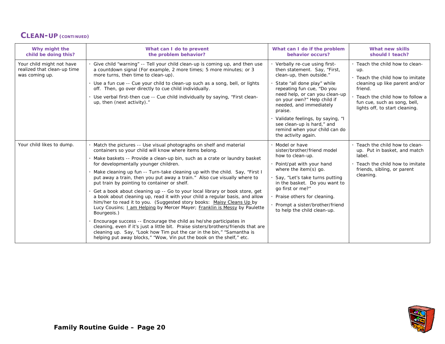#### **CLEAN-UP (CONTINUED)**

| Why might the<br>child be doing this?                                      | What can I do to prevent<br>the problem behavior?                                                                                                                                                                                                                                                                                                                                                                                                                                                                                                                                                                                                                                                                                                                                                                                                                                                                                                                                                                                                                                                               | What can I do if the problem<br>behavior occurs?                                                                                                                                                                                                                                                                                                                                         | What new skills<br>should I teach?                                                                                                                                                                                             |
|----------------------------------------------------------------------------|-----------------------------------------------------------------------------------------------------------------------------------------------------------------------------------------------------------------------------------------------------------------------------------------------------------------------------------------------------------------------------------------------------------------------------------------------------------------------------------------------------------------------------------------------------------------------------------------------------------------------------------------------------------------------------------------------------------------------------------------------------------------------------------------------------------------------------------------------------------------------------------------------------------------------------------------------------------------------------------------------------------------------------------------------------------------------------------------------------------------|------------------------------------------------------------------------------------------------------------------------------------------------------------------------------------------------------------------------------------------------------------------------------------------------------------------------------------------------------------------------------------------|--------------------------------------------------------------------------------------------------------------------------------------------------------------------------------------------------------------------------------|
| Your child might not have<br>realized that clean-up time<br>was coming up. | Give child "warning" -- Tell your child clean-up is coming up, and then use<br>a countdown signal (For example, 2 more times; 5 more minutes; or 3<br>more turns, then time to clean-up).<br>. Use a fun cue -- Cue your child to clean-up such as a song, bell, or lights<br>off. Then, go over directly to cue child individually.<br>. Use verbal first-then cue -- Cue child individually by saying, "First clean-<br>up, then (next activity)."                                                                                                                                                                                                                                                                                                                                                                                                                                                                                                                                                                                                                                                            | · Verbally re-cue using first-<br>then statement. Say, "First,<br>clean-up, then outside."<br>State "all done play" while<br>repeating fun cue, "Do you<br>need help, or can you clean-up<br>on your own?" Help child if<br>needed, and immediately<br>praise.<br>Validate feelings, by saying, "I<br>see clean-up is hard," and<br>remind when your child can do<br>the activity again. | . Teach the child how to clean-<br>up.<br>. Teach the child how to imitate<br>cleaning up like parent and/or<br>friend.<br>. Teach the child how to follow a<br>fun cue, such as song, bell,<br>lights off, to start cleaning. |
| Your child likes to dump.                                                  | Match the pictures -- Use visual photographs on shelf and material<br>containers so your child will know where items belong.<br>Make baskets -- Provide a clean-up bin, such as a crate or laundry basket<br>for developmentally younger children.<br>. Make cleaning up fun -- Turn-take cleaning up with the child. Say, "First I<br>put away a train, then you put away a train." Also cue visually where to<br>put train by pointing to container or shelf.<br>Get a book about cleaning up -- Go to your local library or book store, get<br>a book about cleaning up, read it with your child a regular basis, and allow<br>him/her to read it to you. (Suggested story books: Maisy Cleans Up by<br>Lucy Cousins; Lam Helping by Mercer Mayer; Franklin is Messy by Paulette<br>Bourgeois.)<br>Encourage success -- Encourage the child as he/she participates in<br>cleaning, even if it's just a little bit. Praise sisters/brothers/friends that are<br>cleaning up. Say, "Look how Tim put the car in the bin," "Samantha is<br>helping put away blocks," "Wow, Vin put the book on the shelf," etc. | Model or have<br>sister/brother/friend model<br>how to clean-up.<br>Point/pat with your hand<br>where the item(s) go.<br>Say, "Let's take turns putting<br>in the basket. Do you want to<br>go first or me?"<br>Praise others for cleaning.<br>· Prompt a sister/brother/friend<br>to help the child clean-up.                                                                           | . Teach the child how to clean-<br>up. Put in basket, and match<br>label.<br>. Teach the child how to imitate<br>friends, sibling, or parent<br>cleaning.                                                                      |

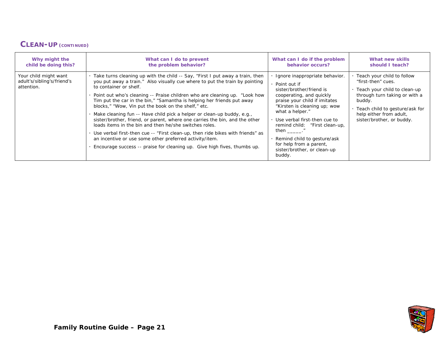#### **CLEAN-UP (CONTINUED)**

| Why might the                                                     | What can I do to prevent                                                                                                                                                                                                                                                                                                                                                                                                                                                                                                                                                                                                                                                                                                                                                                                                                            | What can I do if the problem                                                                                                                                                                                                                                                                                                                                                           | What new skills                                                                                                                                                                                                             |
|-------------------------------------------------------------------|-----------------------------------------------------------------------------------------------------------------------------------------------------------------------------------------------------------------------------------------------------------------------------------------------------------------------------------------------------------------------------------------------------------------------------------------------------------------------------------------------------------------------------------------------------------------------------------------------------------------------------------------------------------------------------------------------------------------------------------------------------------------------------------------------------------------------------------------------------|----------------------------------------------------------------------------------------------------------------------------------------------------------------------------------------------------------------------------------------------------------------------------------------------------------------------------------------------------------------------------------------|-----------------------------------------------------------------------------------------------------------------------------------------------------------------------------------------------------------------------------|
| child be doing this?                                              | the problem behavior?                                                                                                                                                                                                                                                                                                                                                                                                                                                                                                                                                                                                                                                                                                                                                                                                                               | behavior occurs?                                                                                                                                                                                                                                                                                                                                                                       | should I teach?                                                                                                                                                                                                             |
| Your child might want<br>adult's/sibling's/friend's<br>attention. | . Take turns cleaning up with the child -- Say, "First I put away a train, then<br>you put away a train." Also visually cue where to put the train by pointing<br>to container or shelf.<br>Point out who's cleaning -- Praise children who are cleaning up. "Look how<br>Tim put the car in the bin," "Samantha is helping her friends put away<br>blocks," "Wow, Vin put the book on the shelf," etc.<br>Make cleaning fun -- Have child pick a helper or clean-up buddy, e.g.,<br>sister/brother, friend, or parent, where one carries the bin, and the other<br>loads items in the bin and then he/she switches roles.<br>Use verbal first-then cue -- "First clean-up, then ride bikes with friends" as<br>an incentive or use some other preferred activity/item.<br>Encourage success -- praise for cleaning up. Give high fives, thumbs up. | Ignore inappropriate behavior.<br>· Point out if<br>sister/brother/friend is<br>cooperating, and quickly<br>praise your child if imitates<br>"Kirsten is cleaning up; wow<br>what a helper."<br>Use verbal first-then cue to<br>remind child: "First clean-up,<br>then $\_\_\_\$ ."<br>Remind child to gesture/ask<br>for help from a parent,<br>sister/brother, or clean-up<br>buddy. | · Teach your child to follow<br>"first-then" cues.<br>. Teach your child to clean-up<br>through turn taking or with a<br>buddy.<br>· Teach child to gesture/ask for<br>help either from adult,<br>sister/brother, or buddy. |

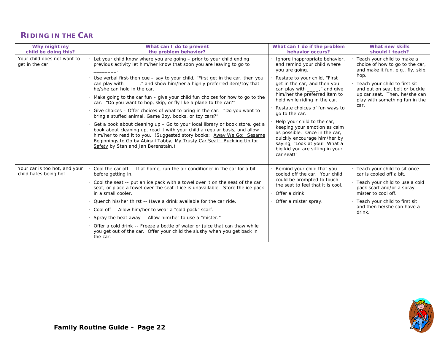# **RIDING IN THE CAR**

| Why might my<br>child be doing this?                    | What can I do to prevent<br>the problem behavior?                                                                                                                                                                                                                                                                                                                                                                                                                                                                                                                                                                                                                                                                                                                                                                                                                                                                                                                                                  | What can I do if the problem<br>behavior occurs?                                                                                                                                                                                                                                                                                                                                                                                                                                                                           | What new skills<br>should I teach?                                                                                                                                                                                                                           |
|---------------------------------------------------------|----------------------------------------------------------------------------------------------------------------------------------------------------------------------------------------------------------------------------------------------------------------------------------------------------------------------------------------------------------------------------------------------------------------------------------------------------------------------------------------------------------------------------------------------------------------------------------------------------------------------------------------------------------------------------------------------------------------------------------------------------------------------------------------------------------------------------------------------------------------------------------------------------------------------------------------------------------------------------------------------------|----------------------------------------------------------------------------------------------------------------------------------------------------------------------------------------------------------------------------------------------------------------------------------------------------------------------------------------------------------------------------------------------------------------------------------------------------------------------------------------------------------------------------|--------------------------------------------------------------------------------------------------------------------------------------------------------------------------------------------------------------------------------------------------------------|
| Your child does not want to<br>get in the car.          | Let your child know where you are going - prior to your child ending<br>previous activity let him/her know that soon you are leaving to go to<br>Use verbal first-then cue $-$ say to your child, "First get in the car, then you<br>can play with _______," and show him/her a highly preferred item/toy that<br>he/she can hold in the car.<br>. Make going to the car fun – give your child fun choices for how to go to the<br>car: "Do you want to hop, skip, or fly like a plane to the car?"<br>Give choices – Offer choices of what to bring in the car: "Do you want to<br>bring a stuffed animal, Game Boy, books, or toy cars?"<br>Get a book about cleaning up – Go to your local library or book store, get a<br>book about cleaning up, read it with your child a regular basis, and allow<br>him/her to read it to you. (Suggested story books: Away We Go: Sesame<br>Beginnings to Go by Abigail Tabby; My Trusty Car Seat: Buckling Up for<br>Safety by Stan and Jan Berenstain.) | Ignore inappropriate behavior,<br>and remind your child where<br>you are going.<br>Restate to your child, "First<br>get in the car, and then you<br>can play with ______," and give<br>him/her the preferred item to<br>hold while riding in the car.<br>Restate choices of fun ways to<br>go to the car.<br>Help your child to the car,<br>keeping your emotion as calm<br>as possible. Once in the car,<br>quickly encourage him/her by<br>saying, "Look at you! What a<br>big kid you are sitting in your<br>car seat!" | · Teach your child to make a<br>choice of how to go to the car,<br>and make it fun, e.g., fly, skip,<br>hop.<br>· Teach your child to first sit<br>and put on seat belt or buckle<br>up car seat. Then, he/she can<br>play with something fun in the<br>car. |
| Your car is too hot, and your<br>child hates being hot. | Cool the car off -- If at home, run the air conditioner in the car for a bit<br>before getting in.<br>Cool the seat -- put an ice pack with a towel over it on the seat of the car<br>seat, or place a towel over the seat if ice is unavailable. Store the ice pack<br>in a small cooler.<br>Quench his/her thirst -- Have a drink available for the car ride.<br>· Cool off -- Allow him/her to wear a "cold pack" scarf.<br>Spray the heat away -- Allow him/her to use a "mister."<br>Offer a cold drink -- Freeze a bottle of water or juice that can thaw while<br>you get out of the car. Offer your child the slushy when you get back in<br>the car.                                                                                                                                                                                                                                                                                                                                      | Remind your child that you<br>cooled off the car. Your child<br>could be prompted to touch<br>the seat to feel that it is cool.<br>$\cdot$ Offer a drink.<br>· Offer a mister spray.                                                                                                                                                                                                                                                                                                                                       | . Teach your child to sit once<br>car is cooled off a bit.<br>· Teach your child to use a cold<br>pack scarf and/or a spray<br>mister to cool off.<br>· Teach your child to first sit<br>and then he/she can have a<br>drink.                                |

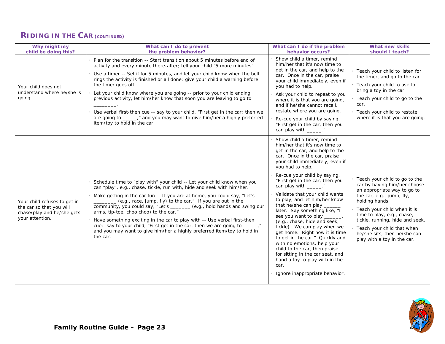#### **RIDING IN THE CAR (CONTINUED)**

| Why might my<br>child be doing this?                                                                      | What can I do to prevent<br>the problem behavior?                                                                                                                                                                                                                                                                                                                                                                                                                                                                                                                                                                                                                                              | What can I do if the problem<br>behavior occurs?                                                                                                                                                                                                                                                                                                                                                                                                                                                                                                                                                                                                                                                                                                              | What new skills<br>should I teach?                                                                                                                                                                                                                                                                                                           |
|-----------------------------------------------------------------------------------------------------------|------------------------------------------------------------------------------------------------------------------------------------------------------------------------------------------------------------------------------------------------------------------------------------------------------------------------------------------------------------------------------------------------------------------------------------------------------------------------------------------------------------------------------------------------------------------------------------------------------------------------------------------------------------------------------------------------|---------------------------------------------------------------------------------------------------------------------------------------------------------------------------------------------------------------------------------------------------------------------------------------------------------------------------------------------------------------------------------------------------------------------------------------------------------------------------------------------------------------------------------------------------------------------------------------------------------------------------------------------------------------------------------------------------------------------------------------------------------------|----------------------------------------------------------------------------------------------------------------------------------------------------------------------------------------------------------------------------------------------------------------------------------------------------------------------------------------------|
| Your child does not<br>understand where he/she is<br>going.                                               | Plan for the transition -- Start transition about 5 minutes before end of<br>activity and every minute there-after; tell your child "5 more minutes".<br>· Use a timer -- Set if for 5 minutes, and let your child know when the bell<br>rings the activity is finished or all done; give your child a warning before<br>the timer goes off.<br>Let your child know where you are going -- prior to your child ending<br>previous activity, let him/her know that soon you are leaving to go to<br>Use verbal first-then cue -- say to your child, "First get in the car; then we<br>are going to ______," and you may want to give him/her a highly preferred<br>item/toy to hold in the car. | Show child a timer, remind<br>him/her that it's now time to<br>get in the car, and help to the<br>car. Once in the car, praise<br>your child immediately, even if<br>you had to help.<br>Ask your child to repeat to you<br>where it is that you are going,<br>and if he/she cannot recall,<br>restate where you are going.<br>Re-cue your child by saying,<br>"First get in the car, then you<br>can play with ______."                                                                                                                                                                                                                                                                                                                                      | · Teach your child to listen for<br>the timer, and go to the car.<br>· Teach your child to ask to<br>bring a toy in the car.<br>. Teach your child to go to the<br>car.<br>· Teach your child to restate<br>where it is that you are going.                                                                                                  |
| Your child refuses to get in<br>the car so that you will<br>chase/play and he/she gets<br>your attention. | Schedule time to "play with" your child -- Let your child know when you<br>can "play", e.g., chase, tickle, run with, hide and seek with him/her.<br>Make getting in the car fun -- If you are at home, you could say, "Let's<br>(e.g., race, jump, fly) to the car." If you are out in the<br>community, you could say, "Let's _______ (e.g., hold hands and swing our<br>arms, tip-toe, choo choo) to the car."<br>Have something exciting in the car to play with -- Use verbal first-then<br>cue: say to your child, "First get in the car, then we are going to _<br>and you may want to give him/her a highly preferred item/toy to hold in<br>the car.                                  | Show child a timer, remind<br>him/her that it's now time to<br>get in the car, and help to the<br>car. Once in the car, praise<br>your child immediately, even if<br>you had to help.<br>Re-cue your child by saying,<br>"First get in the car, then you<br>can play with ______."<br>Validate that your child wants<br>to play, and let him/her know<br>that he/she can play<br>later. Say something like, "I<br>see you want to play _<br>(e.g., chase, hide and seek,<br>tickle). We can play when we<br>get home. Right now it is time<br>to get in the car." Quickly and<br>with no emotions, help your<br>child to the car, then praise<br>for sitting in the car seat, and<br>hand a toy to play with in the<br>car.<br>Ignore inappropriate behavior. | · Teach your child to go to the<br>car by having him/her choose<br>an appropriate way to go to<br>the car, e.g., jump, fly,<br>holding hands.<br>· Teach your child when it is<br>time to play, e.g., chase,<br>tickle, running, hide and seek.<br>Teach your child that when<br>he/she sits, then he/she can<br>play with a toy in the car. |

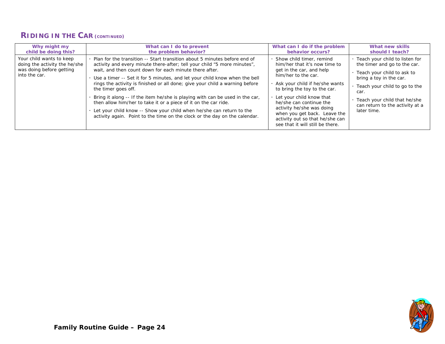#### **RIDING IN THE CAR (CONTINUED)**

| Why might my                                                                                           | What can I do to prevent                                                                                                                                                                                                                                                                                                                                                                                                                                                                                                                                                                                                                                                                                      | What can I do if the problem                                                                                                                                                                                                                                                                                                                                                | What new skills                                                                                                                                                                                                                                        |
|--------------------------------------------------------------------------------------------------------|---------------------------------------------------------------------------------------------------------------------------------------------------------------------------------------------------------------------------------------------------------------------------------------------------------------------------------------------------------------------------------------------------------------------------------------------------------------------------------------------------------------------------------------------------------------------------------------------------------------------------------------------------------------------------------------------------------------|-----------------------------------------------------------------------------------------------------------------------------------------------------------------------------------------------------------------------------------------------------------------------------------------------------------------------------------------------------------------------------|--------------------------------------------------------------------------------------------------------------------------------------------------------------------------------------------------------------------------------------------------------|
| child be doing this?                                                                                   | the problem behavior?                                                                                                                                                                                                                                                                                                                                                                                                                                                                                                                                                                                                                                                                                         | behavior occurs?                                                                                                                                                                                                                                                                                                                                                            | should I teach?                                                                                                                                                                                                                                        |
| Your child wants to keep<br>doing the activity the he/she<br>was doing before getting<br>into the car. | Plan for the transition -- Start transition about 5 minutes before end of<br>activity and every minute there-after; tell your child "5 more minutes",<br>wait, and then count down for each minute there after.<br>Use a timer -- Set it for 5 minutes, and let your child know when the bell<br>rings the activity is finished or all done; give your child a warning before<br>the timer goes off.<br>Bring it along -- If the item he/she is playing with can be used in the car,<br>then allow him/her to take it or a piece of it on the car ride.<br>Let your child know -- Show your child when he/she can return to the<br>activity again. Point to the time on the clock or the day on the calendar. | Show child timer, remind<br>him/her that it's now time to<br>get in the car, and help<br>him/her to the car.<br>Ask your child if he/she wants<br>to bring the toy to the car.<br>. Let your child know that<br>he/she can continue the<br>activity he/she was doing<br>when you get back. Leave the<br>activity out so that he/she can<br>see that it will still be there. | . Teach your child to listen for<br>the timer and go to the car.<br>Teach your child to ask to<br>bring a toy in the car.<br>. Teach your child to go to the<br>car.<br>Teach your child that he/she<br>can return to the activity at a<br>later time. |

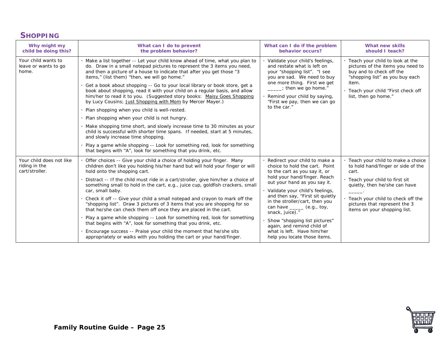#### **SHOPPING**

| Why might my<br>child be doing this?                        | What can I do to prevent<br>the problem behavior?                                                                                                                                                                                                                                                                                                                                                                                                                                                                                                                                                                                                                                                                                                                                                                                                                                                                                                                                                                                | What can I do if the problem<br>behavior occurs?                                                                                                                                                                                                                                                                                                                                                                                                           | What new skills<br>should I teach?                                                                                                                                                                                                                           |
|-------------------------------------------------------------|----------------------------------------------------------------------------------------------------------------------------------------------------------------------------------------------------------------------------------------------------------------------------------------------------------------------------------------------------------------------------------------------------------------------------------------------------------------------------------------------------------------------------------------------------------------------------------------------------------------------------------------------------------------------------------------------------------------------------------------------------------------------------------------------------------------------------------------------------------------------------------------------------------------------------------------------------------------------------------------------------------------------------------|------------------------------------------------------------------------------------------------------------------------------------------------------------------------------------------------------------------------------------------------------------------------------------------------------------------------------------------------------------------------------------------------------------------------------------------------------------|--------------------------------------------------------------------------------------------------------------------------------------------------------------------------------------------------------------------------------------------------------------|
| Your child wants to<br>leave or wants to go<br>home.        | Make a list together -- Let your child know ahead of time, what you plan to<br>do. Draw in a small notepad pictures to represent the 3 items you need,<br>and then a picture of a house to indicate that after you get those "3<br>items," (list them) "then, we will go home."<br>Get a book about shopping -- Go to your local library or book store, get a<br>book about shopping, read it with your child on a regular basis, and allow<br>him/her to read it to you. (Suggested story books: Maisy Goes Shopping<br>by Lucy Cousins; Just Shopping with Mom by Mercer Mayer.)<br>Plan shopping when you child is well-rested.<br>Plan shopping when your child is not hungry.<br>Make shopping time short, and slowly increase time to 30 minutes as your<br>child is successful with shorter time spans. If needed, start at 5 minutes,<br>and slowly increase time shopping.<br>Play a game while shopping -- Look for something red, look for something<br>that begins with "A", look for something that you drink, etc. | Validate your child's feelings,<br>and restate what is left on<br>your "shopping list". "I see<br>you are sad. We need to buy<br>one more thing. First we get<br>$\overline{a}$ : then we go home."<br>Remind your child by saying,<br>"First we pay, then we can go<br>to the car."                                                                                                                                                                       | · Teach your child to look at the<br>pictures of the items you need to<br>buy and to check off the<br>"shopping list" as you buy each<br>item.<br>· Teach your child "First check off<br>list, then go home."                                                |
| Your child does not like<br>riding in the<br>cart/stroller. | Offer choices -- Give your child a choice of holding your finger. Many<br>children don't like you holding his/her hand but will hold your finger or will<br>hold onto the shopping cart.<br>Distract -- If the child must ride in a cart/stroller, give him/her a choice of<br>something small to hold in the cart, e.g., juice cup, goldfish crackers, small<br>car, small baby.<br>Check it off -- Give your child a small notepad and crayon to mark off the<br>"shopping list". Draw 3 pictures of 3 items that you are shopping for so<br>that he/she can check them off once they are placed in the cart.<br>Play a game while shopping -- Look for something red, look for something<br>that begins with "A", look for something that you drink, etc.<br>Encourage success -- Praise your child the moment that he/she sits<br>appropriately or walks with you holding the cart or your hand/finger.                                                                                                                      | Redirect your child to make a<br>choice to hold the cart. Point<br>to the cart as you say it, or<br>hold your hand/finger. Reach<br>out your hand as you say it.<br>· Validate your child's feelings,<br>and then say, "First sit quietly<br>in the stroller/cart, then you<br>can have ______ (e.g., toy,<br>snack, juice)."<br>Show "shopping list pictures"<br>again, and remind child of<br>what is left. Have him/her<br>help you locate those items. | · Teach your child to make a choice<br>to hold hand/finger or side of the<br>cart.<br>· Teach your child to first sit<br>quietly, then he/she can have<br>Teach your child to check off the<br>pictures that represent the 3<br>items on your shopping list. |

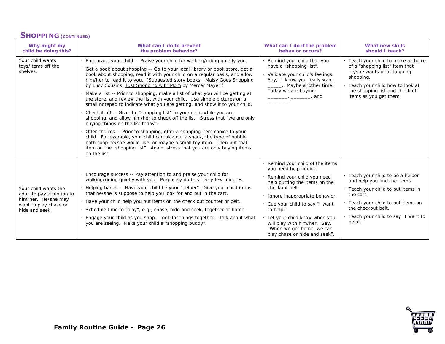#### **SHOPPING (CONTINUED)**

| Why might my<br>child be doing this?                                                                                | What can I do to prevent<br>the problem behavior?                                                                                                                                                                                                                                                                                                                                                                                                                                                                                                                                                                                                                                                                                                                                                                                                                                                                                                                                                                                                                                                                                               | What can I do if the problem<br>behavior occurs?                                                                                                                                                                                                                                                                                                        | What new skills<br>should I teach?                                                                                                                                                                                                 |
|---------------------------------------------------------------------------------------------------------------------|-------------------------------------------------------------------------------------------------------------------------------------------------------------------------------------------------------------------------------------------------------------------------------------------------------------------------------------------------------------------------------------------------------------------------------------------------------------------------------------------------------------------------------------------------------------------------------------------------------------------------------------------------------------------------------------------------------------------------------------------------------------------------------------------------------------------------------------------------------------------------------------------------------------------------------------------------------------------------------------------------------------------------------------------------------------------------------------------------------------------------------------------------|---------------------------------------------------------------------------------------------------------------------------------------------------------------------------------------------------------------------------------------------------------------------------------------------------------------------------------------------------------|------------------------------------------------------------------------------------------------------------------------------------------------------------------------------------------------------------------------------------|
| Your child wants<br>toys/items off the<br>shelves.                                                                  | Encourage your child -- Praise your child for walking/riding quietly you.<br>Get a book about shopping -- Go to your local library or book store, get a<br>book about shopping, read it with your child on a regular basis, and allow<br>him/her to read it to you. (Suggested story books: Maisy Goes Shopping<br>by Lucy Cousins; Just Shopping with Mom by Mercer Mayer.)<br>Make a list -- Prior to shopping, make a list of what you will be getting at<br>the store, and review the list with your child. Use simple pictures on a<br>small notepad to indicate what you are getting, and show it to your child.<br>Check it off -- Give the "shopping list" to your child while you are<br>shopping, and allow him/her to check off the list. Stress that "we are only<br>buying things on the list today".<br>Offer choices -- Prior to shopping, offer a shopping item choice to your<br>child. For example, your child can pick out a snack, the type of bubble<br>bath soap he/she would like, or maybe a small toy item. Then put that<br>item on the "shopping list". Again, stress that you are only buying items<br>on the list. | Remind your child that you<br>have a "shopping list".<br>Validate your child's feelings.<br>Say, "I know you really want<br>Maybe another time.<br>Today we are buying<br>———, _________, and                                                                                                                                                           | · Teach your child to make a choice<br>of a "shopping list" item that<br>he/she wants prior to going<br>shopping.<br>. Teach your child how to look at<br>the shopping list and check off<br>items as you get them.                |
| Your child wants the<br>adult to pay attention to<br>him/her. He/she may<br>want to play chase or<br>hide and seek. | Encourage success -- Pay attention to and praise your child for<br>walking/riding quietly with you. Purposely do this every few minutes.<br>Helping hands -- Have your child be your "helper". Give your child items<br>that he/she is suppose to help you look for and put in the cart.<br>Have your child help you put items on the check out counter or belt.<br>Schedule time to "play", e.g., chase, hide and seek, together at home.<br>Engage your child as you shop. Look for things together. Talk about what<br>you are seeing. Make your child a "shopping buddy".                                                                                                                                                                                                                                                                                                                                                                                                                                                                                                                                                                   | Remind your child of the items<br>you need help finding.<br>Remind your child you need<br>help putting the items on the<br>checkout belt.<br>Ignore inappropriate behavior.<br>Cue your child to say "I want<br>to help".<br>Let your child know when you<br>will play with him/her. Say,<br>"When we get home, we can<br>play chase or hide and seek". | · Teach your child to be a helper<br>and help you find the items.<br>. Teach your child to put items in<br>the cart.<br>· Teach your child to put items on<br>the checkout belt.<br>. Teach your child to say "I want to<br>help". |

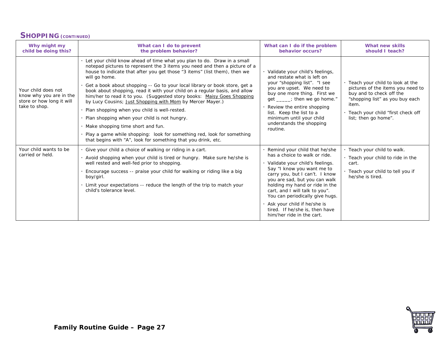#### **SHOPPING (CONTINUED)**

| Why might my<br>child be doing this?                                                         | What can I do to prevent<br>the problem behavior?                                                                                                                                                                                                                                                                                                                                                                                                                                                                                                                                                                                                                                                                                                                                                                                     | What can I do if the problem<br>behavior occurs?                                                                                                                                                                                                                                                                                                                                                          | What new skills<br>should I teach?                                                                                                                                                                            |
|----------------------------------------------------------------------------------------------|---------------------------------------------------------------------------------------------------------------------------------------------------------------------------------------------------------------------------------------------------------------------------------------------------------------------------------------------------------------------------------------------------------------------------------------------------------------------------------------------------------------------------------------------------------------------------------------------------------------------------------------------------------------------------------------------------------------------------------------------------------------------------------------------------------------------------------------|-----------------------------------------------------------------------------------------------------------------------------------------------------------------------------------------------------------------------------------------------------------------------------------------------------------------------------------------------------------------------------------------------------------|---------------------------------------------------------------------------------------------------------------------------------------------------------------------------------------------------------------|
| Your child does not<br>know why you are in the<br>store or how long it will<br>take to shop. | Let your child know ahead of time what you plan to do. Draw in a small<br>notepad pictures to represent the 3 items you need and then a picture of a<br>house to indicate that after you get those "3 items" (list them), then we<br>will go home.<br>Get a book about shopping -- Go to your local library or book store, get a<br>book about shopping, read it with your child on a regular basis, and allow<br>him/her to read it to you. (Suggested story books: Maisy Goes Shopping<br>by Lucy Cousins; Just Shopping with Mom by Mercer Mayer.)<br>Plan shopping when you child is well-rested.<br>Plan shopping when your child is not hungry.<br>Make shopping time short and fun.<br>Play a game while shopping: look for something red, look for something<br>that begins with "A", look for something that you drink, etc. | · Validate your child's feelings,<br>and restate what is left on<br>your "shopping list". "I see<br>you are upset. We need to<br>buy one more thing. First we<br>get ____; then we go home."<br>Review the entire shopping<br>list. Keep the list to a<br>minimum until your child<br>understands the shopping<br>routine.                                                                                | · Teach your child to look at the<br>pictures of the items you need to<br>buy and to check off the<br>"shopping list" as you buy each<br>item.<br>· Teach your child "first check off<br>list; then go home". |
| Your child wants to be<br>carried or held.                                                   | Give your child a choice of walking or riding in a cart.<br>Avoid shopping when your child is tired or hungry. Make sure he/she is<br>well rested and well-fed prior to shopping.<br>Encourage success -- praise your child for walking or riding like a big<br>boy/girl.<br>Limit your expectations -- reduce the length of the trip to match your<br>child's tolerance level.                                                                                                                                                                                                                                                                                                                                                                                                                                                       | Remind your child that he/she<br>has a choice to walk or ride.<br>Validate your child's feelings.<br>Say "I know you want me to<br>carry you, but I can't. I know<br>you are sad, but you can walk<br>holding my hand or ride in the<br>cart, and I will talk to you".<br>You can periodically give hugs.<br>. Ask your child if he/she is<br>tired. If he/she is, then have<br>him/her ride in the cart. | · Teach your child to walk.<br>. Teach your child to ride in the<br>cart.<br>· Teach your child to tell you if<br>he/she is tired.                                                                            |

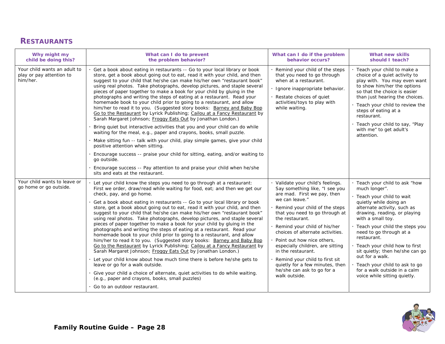# **RESTAURANTS**

| Why might my<br>child be doing this?                                 | What can I do to prevent<br>the problem behavior?                                                                                                                                                                                                                                                                                                                                                                                                                                                                                                                                                                                                                                                                                                                                                                                                                                                                                                                                                                                                                                                                                                                                                                                                                   | What can I do if the problem<br>behavior occurs?                                                                                                                                                                                                                                                                                                                                                                                                                                          | What new skills<br>should I teach?                                                                                                                                                                                                                                                                                                                                                                                                                                  |
|----------------------------------------------------------------------|---------------------------------------------------------------------------------------------------------------------------------------------------------------------------------------------------------------------------------------------------------------------------------------------------------------------------------------------------------------------------------------------------------------------------------------------------------------------------------------------------------------------------------------------------------------------------------------------------------------------------------------------------------------------------------------------------------------------------------------------------------------------------------------------------------------------------------------------------------------------------------------------------------------------------------------------------------------------------------------------------------------------------------------------------------------------------------------------------------------------------------------------------------------------------------------------------------------------------------------------------------------------|-------------------------------------------------------------------------------------------------------------------------------------------------------------------------------------------------------------------------------------------------------------------------------------------------------------------------------------------------------------------------------------------------------------------------------------------------------------------------------------------|---------------------------------------------------------------------------------------------------------------------------------------------------------------------------------------------------------------------------------------------------------------------------------------------------------------------------------------------------------------------------------------------------------------------------------------------------------------------|
| Your child wants an adult to<br>play or pay attention to<br>him/her. | Get a book about eating in restaurants -- Go to your local library or book<br>store, get a book about going out to eat, read it with your child, and then<br>suggest to your child that he/she can make his/her own "restaurant book"<br>using real photos. Take photographs, develop pictures, and staple several<br>pieces of paper together to make a book for your child by gluing in the<br>photographs and writing the steps of eating at a restaurant. Read your<br>homemade book to your child prior to going to a restaurant, and allow<br>him/her to read it to you. (Suggested story books: Barney and Baby Bop<br>Go to the Restaurant by Lyrick Publishing; Cailou at a Fancy Restaurant by<br>Sarah Margaret Johnson; Froggy Eats Out by Jonathan London.)<br>Bring quiet but interactive activities that you and your child can do while<br>waiting for the meal, e.g., paper and crayons, books, small puzzle.<br>· Make sitting fun -- talk with your child, play simple games, give your child<br>positive attention when sitting.<br>Encourage success -- praise your child for sitting, eating, and/or waiting to<br>go outside.<br>Encourage success -- Pay attention to and praise your child when he/she<br>sits and eats at the restaurant. | Remind your child of the steps<br>that you need to go through<br>when at a restaurant.<br>· Ignore inappropriate behavior.<br>Restate choices of quiet<br>activities/toys to play with<br>while waiting.                                                                                                                                                                                                                                                                                  | Teach your child to make a<br>choice of a quiet activity to<br>play with. You may even want<br>to show him/her the options<br>so that the choice is easier<br>than just hearing the choices.<br>. Teach your child to review the<br>steps of eating at a<br>restaurant.<br>Teach your child to say, "Play<br>with me" to get adult's<br>attention.                                                                                                                  |
| Your child wants to leave or<br>go home or go outside.               | Let your child know the steps you need to go through at a restaurant:<br>First we order, draw/read while waiting for food, eat; and then we get our<br>check, pay, and go home.<br>Get a book about eating in restaurants -- Go to your local library or book<br>store, get a book about going out to eat, read it with your child, and then<br>suggest to your child that he/she can make his/her own "restaurant book"<br>using real photos. Take photographs, develop pictures, and staple several<br>pieces of paper together to make a book for your child by gluing in the<br>photographs and writing the steps of eating at a restaurant. Read your<br>homemade book to your child prior to going to a restaurant, and allow<br>him/her to read it to you. (Suggested story books: Barney and Baby Bop<br>Go to the Restaurant by Lyrick Publishing; Cailou at a Fancy Restaurant by<br>Sarah Margaret Johnson; Froggy Eats Out by Jonathan London.)<br>. Let your child know about how much time there is before he/she gets to<br>leave or go for a walk outside.<br>Give your child a choice of alternate, quiet activities to do while waiting.<br>(e.g., paper and crayons, books, small puzzles)<br>· Go to an outdoor restaurant.                     | Validate your child's feelings.<br>Say something like, "I see you<br>are mad. First we pay, then<br>we can leave."<br>Remind your child of the steps<br>that you need to go through at<br>the restaurant.<br>Remind your child of his/her<br>choices of alternate activities.<br>Point out how nice others,<br>especially children, are sitting<br>in the restaurant.<br>Remind your child to first sit<br>quietly for a few minutes, then<br>he/she can ask to go for a<br>walk outside. | · Teach your child to ask "how<br>much longer".<br>· Teach your child to wait<br>quietly while doing an<br>alternate activity, such as<br>drawing, reading, or playing<br>with a small toy.<br>· Teach your child the steps you<br>need to go through at a<br>restaurant.<br>· Teach your child how to first<br>sit quietly; then he/she can go<br>out for a walk.<br>Teach your child to ask to go<br>for a walk outside in a calm<br>voice while sitting quietly. |

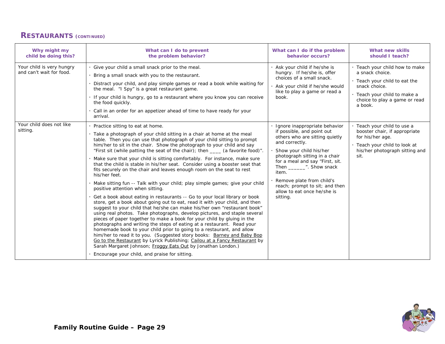# **RESTAURANTS (CONTINUED)**

| Why might my<br>child be doing this?                  | What can I do to prevent<br>the problem behavior?                                                                                                                                                                                                                                                                                                                                                                                                                                                                                                                                                                                                                                                                                                                                                                                                                                                                                                                                                                                                                                                                                                                                                                                                                                                                                                                                                                                                                                                                                                                     | What can I do if the problem<br>behavior occurs?                                                                                                                                                                                                                                                                                                                | What new skills<br>should I teach?                                                                                                                                              |
|-------------------------------------------------------|-----------------------------------------------------------------------------------------------------------------------------------------------------------------------------------------------------------------------------------------------------------------------------------------------------------------------------------------------------------------------------------------------------------------------------------------------------------------------------------------------------------------------------------------------------------------------------------------------------------------------------------------------------------------------------------------------------------------------------------------------------------------------------------------------------------------------------------------------------------------------------------------------------------------------------------------------------------------------------------------------------------------------------------------------------------------------------------------------------------------------------------------------------------------------------------------------------------------------------------------------------------------------------------------------------------------------------------------------------------------------------------------------------------------------------------------------------------------------------------------------------------------------------------------------------------------------|-----------------------------------------------------------------------------------------------------------------------------------------------------------------------------------------------------------------------------------------------------------------------------------------------------------------------------------------------------------------|---------------------------------------------------------------------------------------------------------------------------------------------------------------------------------|
| Your child is very hungry<br>and can't wait for food. | · Give your child a small snack prior to the meal.<br>Bring a small snack with you to the restaurant.<br>Distract your child, and play simple games or read a book while waiting for<br>the meal. "I Spy" is a great restaurant game.<br>· If your child is hungry, go to a restaurant where you know you can receive<br>the food quickly.<br>· Call in an order for an appetizer ahead of time to have ready for your<br>arrival.                                                                                                                                                                                                                                                                                                                                                                                                                                                                                                                                                                                                                                                                                                                                                                                                                                                                                                                                                                                                                                                                                                                                    | . Ask your child if he/she is<br>hungry. If he/she is, offer<br>choices of a small snack.<br>Ask your child if he/she would<br>like to play a game or read a<br>book.                                                                                                                                                                                           | · Teach your child how to make<br>a snack choice.<br>. Teach your child to eat the<br>snack choice.<br>· Teach your child to make a<br>choice to play a game or read<br>a book. |
| Your child does not like<br>sitting.                  | · Practice sitting to eat at home.<br>· Take a photograph of your child sitting in a chair at home at the meal<br>table. Then you can use that photograph of your child sitting to prompt<br>him/her to sit in the chair. Show the photograph to your child and say<br>"First sit (while patting the seat of the chair); then _____ (a favorite food)".<br>· Make sure that your child is sitting comfortably. For instance, make sure<br>that the child is stable in his/her seat. Consider using a booster seat that<br>fits securely on the chair and leaves enough room on the seat to rest<br>his/her feet.<br>· Make sitting fun -- Talk with your child; play simple games; give your child<br>positive attention when sitting.<br>· Get a book about eating in restaurants -- Go to your local library or book<br>store, get a book about going out to eat, read it with your child, and then<br>suggest to your child that he/she can make his/her own "restaurant book"<br>using real photos. Take photographs, develop pictures, and staple several<br>pieces of paper together to make a book for your child by gluing in the<br>photographs and writing the steps of eating at a restaurant. Read your<br>homemade book to your child prior to going to a restaurant, and allow<br>him/her to read it to you. (Suggested story books: Barney and Baby Bop<br>Go to the Restaurant by Lyrick Publishing; Cailou at a Fancy Restaurant by<br>Sarah Margaret Johnson; Froggy Eats Out by Jonathan London.)<br>Encourage your child, and praise for sitting. | Ignore inappropriate behavior<br>if possible, and point out<br>others who are sitting quietly<br>and correctly.<br>Show your child his/her<br>photograph sitting in a chair<br>for a meal and say "First, sit.<br>Then ________". Show snack<br>item.<br>Remove plate from child's<br>reach; prompt to sit; and then<br>allow to eat once he/she is<br>sitting. | · Teach your child to use a<br>booster chair, if appropriate<br>for his/her age.<br>· Teach your child to look at<br>his/her photograph sitting and<br>sit.                     |

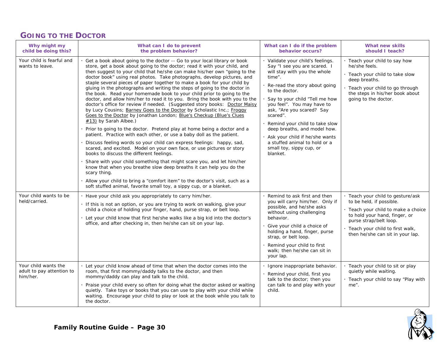#### **GOING TO THE DOCTOR**

| Why might my<br>child be doing this?                            | What can I do to prevent<br>the problem behavior?                                                                                                                                                                                                                                                                                                                                                                                                                                                                                                                                                                                                                                                                                                                                                                                                                                                                                                                                                                                                                                                                                                                                                                                                                                                                                                                                                                                                                                                                                                                 | What can I do if the problem<br>behavior occurs?                                                                                                                                                                                                                                                                                                                                                                                                     | <b>What new skills</b><br>should I teach?                                                                                                                                                                                                                                     |
|-----------------------------------------------------------------|-------------------------------------------------------------------------------------------------------------------------------------------------------------------------------------------------------------------------------------------------------------------------------------------------------------------------------------------------------------------------------------------------------------------------------------------------------------------------------------------------------------------------------------------------------------------------------------------------------------------------------------------------------------------------------------------------------------------------------------------------------------------------------------------------------------------------------------------------------------------------------------------------------------------------------------------------------------------------------------------------------------------------------------------------------------------------------------------------------------------------------------------------------------------------------------------------------------------------------------------------------------------------------------------------------------------------------------------------------------------------------------------------------------------------------------------------------------------------------------------------------------------------------------------------------------------|------------------------------------------------------------------------------------------------------------------------------------------------------------------------------------------------------------------------------------------------------------------------------------------------------------------------------------------------------------------------------------------------------------------------------------------------------|-------------------------------------------------------------------------------------------------------------------------------------------------------------------------------------------------------------------------------------------------------------------------------|
| Your child is fearful and<br>wants to leave.                    | Get a book about going to the doctor -- Go to your local library or book<br>store, get a book about going to the doctor; read it with your child, and<br>then suggest to your child that he/she can make his/her own "going to the<br>doctor book" using real photos. Take photographs, develop pictures, and<br>staple several pieces of paper together to make a book for your child by<br>gluing in the photographs and writing the steps of going to the doctor in<br>the book. Read your homemade book to your child prior to going to the<br>doctor, and allow him/her to read it to you. Bring the book with you to the<br>doctor's office for review if needed. (Suggested story books: Doctor Maisy<br>by Lucy Cousins; Barney Goes to the Doctor by Scholastic Inc.; Froggy<br>Goes to the Doctor by Jonathan London; Blue's Checkup (Blue's Clues<br>$\#13$ ) by Sarah Albee.)<br>Prior to going to the doctor. Pretend play at home being a doctor and a<br>patient. Practice with each other, or use a baby doll as the patient.<br>Discuss feeling words so your child can express feelings: happy, sad,<br>scared, and excited. Model on your own face, or use pictures or story<br>books to discuss the different feelings.<br>Share with your child something that might scare you, and let him/her<br>know that when you breathe slow deep breaths it can help you do the<br>scary thing.<br>Allow your child to bring a "comfort item" to the doctor's visit, such as a<br>soft stuffed animal, favorite small toy, a sippy cup, or a blanket. | · Validate your child's feelings.<br>Say "I see you are scared. I<br>will stay with you the whole<br>time".<br>Re-read the story about going<br>to the doctor.<br>Say to your child "Tell me how<br>you feel". You may have to<br>ask, "Are you scared? Say<br>scared".<br>Remind your child to take slow<br>deep breaths, and model how.<br>Ask your child if he/she wants<br>a stuffed animal to hold or a<br>small toy, sippy cup, or<br>blanket. | · Teach your child to say how<br>he/she feels.<br>· Teach your child to take slow<br>deep breaths.<br>· Teach your child to go through<br>the steps in his/her book about<br>going to the doctor.                                                                             |
| Your child wants to be<br>held/carried.<br>Your child wants the | Have your child ask you appropriately to carry him/her.<br>· If this is not an option, or you are trying to work on walking, give your<br>child a choice of holding your finger, hand, purse strap, or belt loop.<br>Let your child know that first he/she walks like a big kid into the doctor's<br>office, and after checking in, then he/she can sit on your lap.<br>Let your child know ahead of time that when the doctor comes into the                                                                                                                                                                                                                                                                                                                                                                                                                                                                                                                                                                                                                                                                                                                                                                                                                                                                                                                                                                                                                                                                                                                     | Remind to ask first and then<br>you will carry him/her. Only if<br>possible, and he/she asks<br>without using challenging<br>behavior.<br>Give your child a choice of<br>holding a hand, finger, purse<br>strap, or belt loop.<br>Remind your child to first<br>walk; then he/she can sit in<br>your lap.<br>Ignore inappropriate behavior.                                                                                                          | · Teach your child to gesture/ask<br>to be held, if possible.<br>· Teach your child to make a choice<br>to hold your hand, finger, or<br>purse strap/belt loop.<br>· Teach your child to first walk,<br>then he/she can sit in your lap.<br>· Teach your child to sit or play |
| adult to pay attention to<br>him/her.                           | room, that first mommy/daddy talks to the doctor, and then<br>mommy/daddy can play and talk to the child.<br>Praise your child every so often for doing what the doctor asked or waiting<br>quietly. Take toys or books that you can use to play with your child while<br>waiting. Encourage your child to play or look at the book while you talk to<br>the doctor.                                                                                                                                                                                                                                                                                                                                                                                                                                                                                                                                                                                                                                                                                                                                                                                                                                                                                                                                                                                                                                                                                                                                                                                              | Remind your child, first you<br>talk to the doctor; then you<br>can talk to and play with your<br>child.                                                                                                                                                                                                                                                                                                                                             | quietly while waiting.<br>· Teach your child to say "Play with<br>me".                                                                                                                                                                                                        |

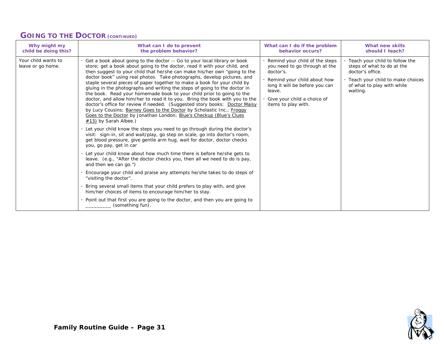#### **GOING TO THE DOCTOR (CONTINUED)**

| Why might my                             | What can I do to prevent                                                                                                                                                                                                                                                                                                                                                                                                                                                                                                                                                                                                                                                                                                                                                                                                                                                                                                                                                                                                                                                                                                                                                                                                                                                                                                                                                                                                                                                                                                                                                                                                                                                               | What can I do if the problem                                                                                                                                                                                  | What new skills                                                                                                                                                  |
|------------------------------------------|----------------------------------------------------------------------------------------------------------------------------------------------------------------------------------------------------------------------------------------------------------------------------------------------------------------------------------------------------------------------------------------------------------------------------------------------------------------------------------------------------------------------------------------------------------------------------------------------------------------------------------------------------------------------------------------------------------------------------------------------------------------------------------------------------------------------------------------------------------------------------------------------------------------------------------------------------------------------------------------------------------------------------------------------------------------------------------------------------------------------------------------------------------------------------------------------------------------------------------------------------------------------------------------------------------------------------------------------------------------------------------------------------------------------------------------------------------------------------------------------------------------------------------------------------------------------------------------------------------------------------------------------------------------------------------------|---------------------------------------------------------------------------------------------------------------------------------------------------------------------------------------------------------------|------------------------------------------------------------------------------------------------------------------------------------------------------------------|
| child be doing this?                     | the problem behavior?                                                                                                                                                                                                                                                                                                                                                                                                                                                                                                                                                                                                                                                                                                                                                                                                                                                                                                                                                                                                                                                                                                                                                                                                                                                                                                                                                                                                                                                                                                                                                                                                                                                                  | behavior occurs?                                                                                                                                                                                              | should I teach?                                                                                                                                                  |
| Your child wants to<br>leave or go home. | Get a book about going to the doctor -- Go to your local library or book<br>store; get a book about going to the doctor, read it with your child, and<br>then suggest to your child that he/she can make his/her own "going to the<br>doctor book" using real photos. Take photographs, develop pictures, and<br>staple several pieces of paper together to make a book for your child by<br>gluing in the photographs and writing the steps of going to the doctor in<br>the book. Read your homemade book to your child prior to going to the<br>doctor, and allow him/her to read it to you. Bring the book with you to the<br>doctor's office for review if needed. (Suggested story books: Doctor Maisy<br>by Lucy Cousins; Barney Goes to the Doctor by Scholastic Inc.; Froggy<br>Goes to the Doctor by Jonathan London; Blue's Checkup (Blue's Clues<br>#13) by Sarah Albee.)<br>Let your child know the steps you need to go through during the doctor's<br>visit: sign-in, sit and wait/play, go step on scale, go into doctor's room,<br>get blood pressure, give gentle arm hug, wait for doctor, doctor checks<br>you, go pay, get in car<br>Let your child know about how much time there is before he/she gets to<br>leave. (e.g., "After the doctor checks you, then all we need to do is pay,<br>and then we can go.")<br>Encourage your child and praise any attempts he/she takes to do steps of<br>"visiting the doctor".<br>Bring several small items that your child prefers to play with, and give<br>him/her choices of items to encourage him/her to stay.<br>Point out that first you are going to the doctor, and then you are going to<br>(something fun). | Remind your child of the steps<br>you need to go through at the<br>doctor's.<br>Remind your child about how<br>long it will be before you can<br>leave.<br>Give your child a choice of<br>items to play with. | Teach your child to follow the<br>steps of what to do at the<br>doctor's office.<br>· Teach your child to make choices<br>of what to play with while<br>waiting. |

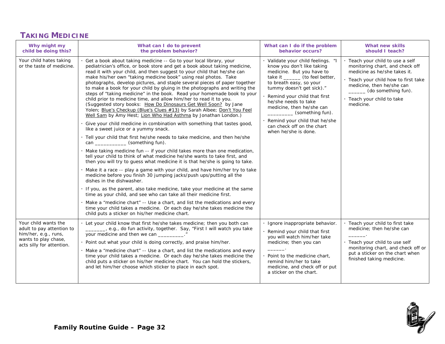# **TAKING MEDICINE**

| Why might my<br>child be doing this?                                                                                           | What can I do to prevent<br>the problem behavior?                                                                                                                                                                                                                                                                                                                                                                                                                                                                                                                                                                                                                                                                                                                                                                                                                                                                                                                                                                                                                                                                                                                                                                                                                                                                                                                                                                                                                                                                                                                                                                                                                                                                                                                                                                                                                     | What can I do if the problem<br>behavior occurs?                                                                                                                                                                                                                                                                                                                                             | <b>What new skills</b><br>should I teach?                                                                                                                                                                                                  |
|--------------------------------------------------------------------------------------------------------------------------------|-----------------------------------------------------------------------------------------------------------------------------------------------------------------------------------------------------------------------------------------------------------------------------------------------------------------------------------------------------------------------------------------------------------------------------------------------------------------------------------------------------------------------------------------------------------------------------------------------------------------------------------------------------------------------------------------------------------------------------------------------------------------------------------------------------------------------------------------------------------------------------------------------------------------------------------------------------------------------------------------------------------------------------------------------------------------------------------------------------------------------------------------------------------------------------------------------------------------------------------------------------------------------------------------------------------------------------------------------------------------------------------------------------------------------------------------------------------------------------------------------------------------------------------------------------------------------------------------------------------------------------------------------------------------------------------------------------------------------------------------------------------------------------------------------------------------------------------------------------------------------|----------------------------------------------------------------------------------------------------------------------------------------------------------------------------------------------------------------------------------------------------------------------------------------------------------------------------------------------------------------------------------------------|--------------------------------------------------------------------------------------------------------------------------------------------------------------------------------------------------------------------------------------------|
| Your child hates taking<br>or the taste of medicine.                                                                           | Get a book about taking medicine -- Go to your local library, your<br>pediatrician's office, or book store and get a book about taking medicine,<br>read it with your child, and then suggest to your child that he/she can<br>make his/her own "taking medicine book" using real photos. Take<br>photographs, develop pictures, and staple several pieces of paper together<br>to make a book for your child by gluing in the photographs and writing the<br>steps of "taking medicine" in the book. Read your homemade book to your<br>child prior to medicine time, and allow him/her to read it to you.<br>(Suggested story books: How Do Dinosaurs Get Well Soon? by Jane<br>Yolen; Blue's Checkup (Blue's Clues #13) by Sarah Albee; Don't You Feel<br>Well Sam by Amy Hest; Lion Who Had Asthma by Jonathan London.)<br>Give your child medicine in combination with something that tastes good,<br>like a sweet juice or a yummy snack.<br>· Tell your child that first he/she needs to take medicine, and then he/she<br>can __________________(something fun).<br>Make taking medicine fun -- if your child takes more than one medication,<br>tell your child to think of what medicine he/she wants to take first, and<br>then you will try to guess what medicine it is that he/she is going to take.<br>Make it a race -- play a game with your child, and have him/her try to take<br>medicine before you finish 30 jumping jacks/push ups/putting all the<br>dishes in the dishwasher.<br>If you, as the parent, also take medicine, take your medicine at the same<br>time as your child, and see who can take all their medicine first.<br>Make a "medicine chart" -- Use a chart, and list the medications and every<br>time your child takes a medicine. Or each day he/she takes medicine the<br>child puts a sticker on his/her medicine chart. | · Validate your child feelings. "I<br>know you don't like taking<br>medicine. But you have to<br>take it ________ (to feel better,<br>to breath easy, so your<br>tummy doesn't get sick)."<br>Remind your child that first<br>he/she needs to take<br>medicine, then he/she can<br>_ (something fun).<br>Remind your child that he/she<br>can check off on the chart<br>when he/she is done. | · Teach your child to use a self<br>monitoring chart, and check off<br>medicine as he/she takes it.<br>· Teach your child how to first take<br>medicine, then he/she can<br>(do something fun).<br>· Teach your child to take<br>medicine. |
| Your child wants the<br>adult to pay attention to<br>him/her, e.g., runs,<br>wants to play chase,<br>acts silly for attention. | . Let your child know that first he/she takes medicine; then you both can<br>e.g., do fun activity, together. Say, "First I will watch you take<br>your medicine and then we can _________."<br>Point out what your child is doing correctly, and praise him/her.<br>Make a "medicine chart" -- Use a chart, and list the medications and every<br>time your child takes a medicine. Or each day he/she takes medicine the<br>child puts a sticker on his/her medicine chart. You can hold the stickers,<br>and let him/her choose which sticker to place in each spot.                                                                                                                                                                                                                                                                                                                                                                                                                                                                                                                                                                                                                                                                                                                                                                                                                                                                                                                                                                                                                                                                                                                                                                                                                                                                                               | · Ignore inappropriate behavior.<br>Remind your child that first<br>you will watch him/her take<br>medicine; then you can<br>Point to the medicine chart.<br>remind him/her to take<br>medicine, and check off or put<br>a sticker on the chart.                                                                                                                                             | · Teach your child to first take<br>medicine; then he/she can<br>· Teach your child to use self<br>monitoring chart, and check off or<br>put a sticker on the chart when<br>finished taking medicine.                                      |

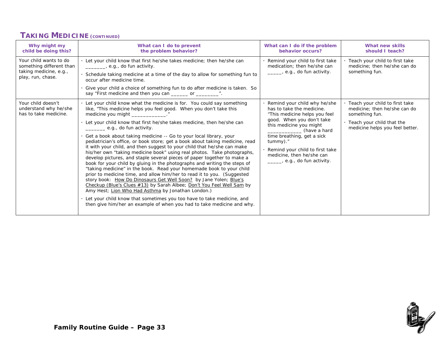#### **TAKING MEDICINE (CONTINUED)**

| Why might my<br>child be doing this?                                                              | What can I do to prevent<br>the problem behavior?                                                                                                                                                                                                                                                                                                                                                                                                                                                                                                                                                                                                                                                                                                                                                                                                                                                                                                                                                                                                                                                                                                                                                                                                                | What can I do if the problem<br>behavior occurs?                                                                                                                                                                                                                                                       | What new skills<br>should I teach?                                                                                                                   |
|---------------------------------------------------------------------------------------------------|------------------------------------------------------------------------------------------------------------------------------------------------------------------------------------------------------------------------------------------------------------------------------------------------------------------------------------------------------------------------------------------------------------------------------------------------------------------------------------------------------------------------------------------------------------------------------------------------------------------------------------------------------------------------------------------------------------------------------------------------------------------------------------------------------------------------------------------------------------------------------------------------------------------------------------------------------------------------------------------------------------------------------------------------------------------------------------------------------------------------------------------------------------------------------------------------------------------------------------------------------------------|--------------------------------------------------------------------------------------------------------------------------------------------------------------------------------------------------------------------------------------------------------------------------------------------------------|------------------------------------------------------------------------------------------------------------------------------------------------------|
| Your child wants to do<br>something different than<br>taking medicine, e.g.,<br>play, run, chase. | Let your child know that first he/she takes medicine; then he/she can<br>e.g., do fun activity.<br>Schedule taking medicine at a time of the day to allow for something fun to<br>occur after medicine time.<br>Give your child a choice of something fun to do after medicine is taken. So<br>say "First medicine and then you can ______ or _________".                                                                                                                                                                                                                                                                                                                                                                                                                                                                                                                                                                                                                                                                                                                                                                                                                                                                                                        | Remind your child to first take<br>medication: then he/she can<br>e.g., do fun activity.                                                                                                                                                                                                               | Teach your child to first take<br>medicine: then he/she can do<br>something fun.                                                                     |
| Your child doesn't<br>understand why he/she<br>has to take medicine.                              | Let your child know what the medicine is for. You could say something<br>like, "This medicine helps you feel good. When you don't take this<br>medicine you might ____________.<br>Let your child know that first he/she takes medicine, then he/she can<br>e.g., do fun activity.<br>Get a book about taking medicine -- Go to your local library, your<br>pediatrician's office, or book store; get a book about taking medicine, read<br>it with your child, and then suggest to your child that he/she can make<br>his/her own "taking medicine book" using real photos. Take photographs,<br>develop pictures, and staple several pieces of paper together to make a<br>book for your child by gluing in the photographs and writing the steps of<br>"taking medicine" in the book. Read your homemade book to your child<br>prior to medicine time, and allow him/her to read it to you. (Suggested<br>story book: How Do Dinosaurs Get Well Soon? by Jane Yolen; Blue's<br>Checkup (Blue's Clues #13) by Sarah Albee; Don't You Feel Well Sam by<br>Amy Hest; Lion Who Had Asthma by Jonathan London.)<br>Let your child know that sometimes you too have to take medicine, and<br>then give him/her an example of when you had to take medicine and why. | Remind your child why he/she<br>has to take the medicine.<br>"This medicine helps you feel<br>good. When you don't take<br>this medicine you might<br>(have a hard<br>time breathing, get a sick<br>tummy)."<br>Remind your child to first take<br>medicine, then he/she can<br>e.g., do fun activity. | . Teach your child to first take<br>medicine; then he/she can do<br>something fun.<br>· Teach your child that the<br>medicine helps you feel better. |

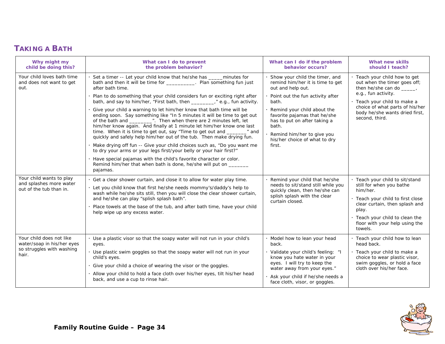# **TAKING A BATH**

| Why might my<br>child be doing this?                                                         | What can I do to prevent<br>the problem behavior?                                                                                                                                                                                                                                                                                                                                                                                                                                                                                                                                                                                                                                                                                                                                                                                                                                                                                                                                                                                                                                              | What can I do if the problem<br>behavior occurs?                                                                                                                                                                                                                                                                      | What new skills<br>should I teach?                                                                                                                                                                                                       |
|----------------------------------------------------------------------------------------------|------------------------------------------------------------------------------------------------------------------------------------------------------------------------------------------------------------------------------------------------------------------------------------------------------------------------------------------------------------------------------------------------------------------------------------------------------------------------------------------------------------------------------------------------------------------------------------------------------------------------------------------------------------------------------------------------------------------------------------------------------------------------------------------------------------------------------------------------------------------------------------------------------------------------------------------------------------------------------------------------------------------------------------------------------------------------------------------------|-----------------------------------------------------------------------------------------------------------------------------------------------------------------------------------------------------------------------------------------------------------------------------------------------------------------------|------------------------------------------------------------------------------------------------------------------------------------------------------------------------------------------------------------------------------------------|
| Your child loves bath time<br>and does not want to get<br>out.                               | Set a timer -- Let your child know that he/she has _____ minutes for<br>bath and then it will be time for __________. Plan something fun just<br>after bath time.<br>Plan to do something that your child considers fun or exciting right after<br>bath, and say to him/her, "First bath, then _________," e.g., fun activity.<br>Give your child a warning to let him/her know that bath time will be<br>ending soon. Say something like "In 5 minutes it will be time to get out<br>of the bath and ________". Then when there are 2 minutes left, let<br>him/her know again. And finally at 1 minute let him/her know one last<br>time. When it is time to get out, say "Time to get out and _______" and<br>quickly and safely help him/her out of the tub. Then make drying fun.<br>Make drying off fun -- Give your child choices such as, "Do you want me<br>to dry your arms or your legs first/your belly or your hair first?"<br>Have special pajamas with the child's favorite character or color.<br>Remind him/her that when bath is done, he/she will put on _______<br>pajamas. | Show your child the timer, and<br>remind him/her it is time to get<br>out and help out.<br>Point out the fun activity after<br>bath.<br>Remind your child about the<br>favorite pajamas that he/she<br>has to put on after taking a<br>bath.<br>Remind him/her to give you<br>his/her choice of what to dry<br>first. | . Teach your child how to get<br>out when the timer goes off;<br>then he/she can do _____,<br>e.g., fun activity.<br>· Teach your child to make a<br>choice of what parts of his/her<br>body he/she wants dried first,<br>second, third. |
| Your child wants to play<br>and splashes more water<br>out of the tub than in.               | Get a clear shower curtain, and close it to allow for water play time.<br>Let you child know that first he/she needs mommy's/daddy's help to<br>wash while he/she sits still, then you will close the clear shower curtain,<br>and he/she can play "splish splash bath".<br>Place towels at the base of the tub, and after bath time, have your child<br>help wipe up any excess water.                                                                                                                                                                                                                                                                                                                                                                                                                                                                                                                                                                                                                                                                                                        | Remind your child that he/she<br>needs to sit/stand still while you<br>quickly clean, then he/she can<br>splish splash with the clear<br>curtain closed.                                                                                                                                                              | · Teach your child to sit/stand<br>still for when you bathe<br>him/her.<br>· Teach your child to first close<br>clear curtain, then splash and<br>play.<br>· Teach your child to clean the<br>floor with your help using the<br>towels.  |
| Your child does not like<br>water/soap in his/her eyes<br>so struggles with washing<br>hair. | . Use a plastic visor so that the soapy water will not run in your child's<br>eyes.<br>Use plastic swim goggles so that the soapy water will not run in your<br>child's eyes.<br>· Give your child a choice of wearing the visor or the goggles.<br>Allow your child to hold a face cloth over his/her eyes, tilt his/her head<br>back, and use a cup to rinse hair.                                                                                                                                                                                                                                                                                                                                                                                                                                                                                                                                                                                                                                                                                                                           | · Model how to lean your head<br>back.<br>· Validate your child's feeling: "I<br>know you hate water in your<br>eyes. I will try to keep the<br>water away from your eyes."<br>· Ask your child if he/she needs a<br>face cloth, visor, or goggles.                                                                   | · Teach your child how to lean<br>head back.<br>· Teach your child to make a<br>choice to wear plastic visor,<br>swim goggles, or hold a face<br>cloth over his/her face.                                                                |

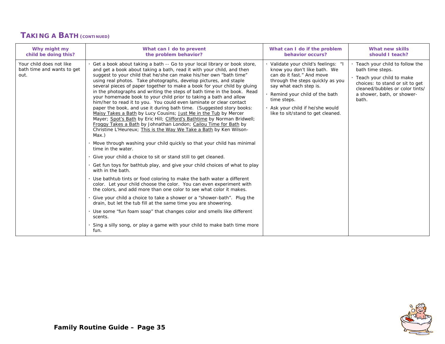#### **TAKING A BATH (CONTINUED)**

| Why might my                                                   | What can I do to prevent                                                                                                                                                                                                                                                                                                                                                                                                                                                                                                                                                                                                                                                                                                                                                                                                                                                                                                                                                                                                                                                                                                                                                                                                                                                                                                                                                                                                                                                                                                                                                                                                                                                                                                                                                                                    | What can I do if the problem                                                                                                                                                                                                                                                             | <b>What new skills</b>                                                                                                                                                                          |
|----------------------------------------------------------------|-------------------------------------------------------------------------------------------------------------------------------------------------------------------------------------------------------------------------------------------------------------------------------------------------------------------------------------------------------------------------------------------------------------------------------------------------------------------------------------------------------------------------------------------------------------------------------------------------------------------------------------------------------------------------------------------------------------------------------------------------------------------------------------------------------------------------------------------------------------------------------------------------------------------------------------------------------------------------------------------------------------------------------------------------------------------------------------------------------------------------------------------------------------------------------------------------------------------------------------------------------------------------------------------------------------------------------------------------------------------------------------------------------------------------------------------------------------------------------------------------------------------------------------------------------------------------------------------------------------------------------------------------------------------------------------------------------------------------------------------------------------------------------------------------------------|------------------------------------------------------------------------------------------------------------------------------------------------------------------------------------------------------------------------------------------------------------------------------------------|-------------------------------------------------------------------------------------------------------------------------------------------------------------------------------------------------|
| child be doing this?                                           | the problem behavior?                                                                                                                                                                                                                                                                                                                                                                                                                                                                                                                                                                                                                                                                                                                                                                                                                                                                                                                                                                                                                                                                                                                                                                                                                                                                                                                                                                                                                                                                                                                                                                                                                                                                                                                                                                                       | behavior occurs?                                                                                                                                                                                                                                                                         | should I teach?                                                                                                                                                                                 |
| Your child does not like<br>bath time and wants to get<br>out. | · Get a book about taking a bath -- Go to your local library or book store,<br>and get a book about taking a bath, read it with your child, and then<br>suggest to your child that he/she can make his/her own "bath time"<br>using real photos. Take photographs, develop pictures, and staple<br>several pieces of paper together to make a book for your child by gluing<br>in the photographs and writing the steps of bath time in the book. Read<br>your homemade book to your child prior to taking a bath and allow<br>him/her to read it to you. You could even laminate or clear contact<br>paper the book, and use it during bath time. (Suggested story books:<br>Maisy Takes a Bath by Lucy Cousins; Just Me in the Tub by Mercer<br>Mayer; Spot's Bath by Eric Hill; Clifford's Bathtime by Norman Bridwell;<br>Froggy Takes a Bath by Johnathan London; Cailou Time for Bath by<br>Christine L'Heureux; This is the Way We Take a Bath by Ken Wilson-<br>Max.)<br>. Move through washing your child quickly so that your child has minimal<br>time in the water.<br>. Give your child a choice to sit or stand still to get cleaned.<br>· Get fun toys for bathtub play, and give your child choices of what to play<br>with in the bath.<br>. Use bathtub tints or food coloring to make the bath water a different<br>color. Let your child choose the color. You can even experiment with<br>the colors, and add more than one color to see what color it makes.<br>. Give your child a choice to take a shower or a "shower-bath". Plug the<br>drain, but let the tub fill at the same time you are showering.<br>· Use some "fun foam soap" that changes color and smells like different<br>scents.<br>Sing a silly song, or play a game with your child to make bath time more<br>fun. | · Validate your child's feelings: "I<br>know you don't like bath. We<br>can do it fast." And move<br>through the steps quickly as you<br>say what each step is.<br>Remind your child of the bath<br>time steps.<br>· Ask your child if he/she would<br>like to sit/stand to get cleaned. | · Teach your child to follow the<br>bath time steps.<br>· Teach your child to make<br>choices: to stand or sit to get<br>cleaned/bubbles or color tints/<br>a shower, bath, or shower-<br>bath. |

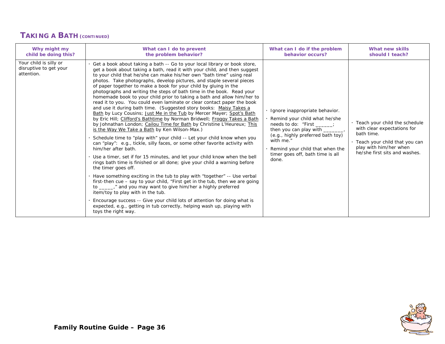#### **TAKING A BATH (CONTINUED)**

| Why might my                                                   | What can I do to prevent                                                                                                                                                                                                                                                                                                                                                                                                                                                                                                                                                                                                                                                                                                                                                                                                                                                                                                                                                                                                                                                                                                                                                                                                                                                                                                                                                                                                                                                                                                                                                                                                                                                                                                                                                                      | What can I do if the problem                                                                                                                                                                                                                                     | What new skills                                                                                                                                                            |
|----------------------------------------------------------------|-----------------------------------------------------------------------------------------------------------------------------------------------------------------------------------------------------------------------------------------------------------------------------------------------------------------------------------------------------------------------------------------------------------------------------------------------------------------------------------------------------------------------------------------------------------------------------------------------------------------------------------------------------------------------------------------------------------------------------------------------------------------------------------------------------------------------------------------------------------------------------------------------------------------------------------------------------------------------------------------------------------------------------------------------------------------------------------------------------------------------------------------------------------------------------------------------------------------------------------------------------------------------------------------------------------------------------------------------------------------------------------------------------------------------------------------------------------------------------------------------------------------------------------------------------------------------------------------------------------------------------------------------------------------------------------------------------------------------------------------------------------------------------------------------|------------------------------------------------------------------------------------------------------------------------------------------------------------------------------------------------------------------------------------------------------------------|----------------------------------------------------------------------------------------------------------------------------------------------------------------------------|
| child be doing this?                                           | the problem behavior?                                                                                                                                                                                                                                                                                                                                                                                                                                                                                                                                                                                                                                                                                                                                                                                                                                                                                                                                                                                                                                                                                                                                                                                                                                                                                                                                                                                                                                                                                                                                                                                                                                                                                                                                                                         | behavior occurs?                                                                                                                                                                                                                                                 | should I teach?                                                                                                                                                            |
| Your child is silly or<br>disruptive to get your<br>attention. | · Get a book about taking a bath -- Go to your local library or book store,<br>get a book about taking a bath, read it with your child, and then suggest<br>to your child that he/she can make his/her own "bath time" using real<br>photos. Take photographs, develop pictures, and staple several pieces<br>of paper together to make a book for your child by gluing in the<br>photographs and writing the steps of bath time in the book. Read your<br>homemade book to your child prior to taking a bath and allow him/her to<br>read it to you. You could even laminate or clear contact paper the book<br>and use it during bath time. (Suggested story books: Maisy Takes a<br>Bath by Lucy Cousins; Just Me in the Tub by Mercer Mayer; Spot's Bath<br>by Eric Hill; Clifford's Bathtime by Norman Bridwell; Froggy Takes a Bath<br>by Johnathan London; Cailou Time for Bath by Christine L'Heureux; This<br>is the Way We Take a Bath by Ken Wilson-Max.)<br>Schedule time to "play with" your child -- Let your child know when you<br>can "play": e.g., tickle, silly faces, or some other favorite activity with<br>him/her after bath.<br>. Use a timer, set if for 15 minutes, and let your child know when the bell<br>rings bath time is finished or all done; give your child a warning before<br>the timer goes off.<br>· Have something exciting in the tub to play with "together" -- Use verbal<br>first-then cue - say to your child, "First get in the tub, then we are going<br>to _______," and you may want to give him/her a highly preferred<br>item/toy to play with in the tub.<br>Encourage success -- Give your child lots of attention for doing what is<br>expected, e.g., getting in tub correctly, helping wash up, playing with<br>toys the right way. | Ignore inappropriate behavior.<br>Remind your child what he/she<br>needs to do: "First _____;<br>then you can play with ______<br>(e.g., highly preferred bath toy)<br>with me."<br>Remind your child that when the<br>timer goes off, bath time is all<br>done. | . Teach your child the schedule<br>with clear expectations for<br>bath time.<br>· Teach your child that you can<br>play with him/her when<br>he/she first sits and washes. |

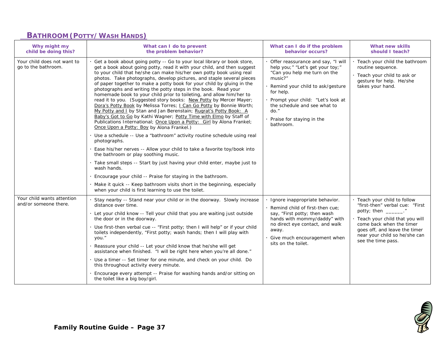#### **BATHROOM (POTTY/WASH HANDS)**

| Why might my<br>child be doing this?                | What can I do to prevent<br>the problem behavior?                                                                                                                                                                                                                                                                                                                                                                                                                                                                                                                                                                                                                                                                                                                                                                                                                                                                                                                                                                                                                                                                                                     | What can I do if the problem<br>behavior occurs?                                                                                                                                                                                                                                               | What new skills<br>should I teach?                                                                                                                                                                                                                    |
|-----------------------------------------------------|-------------------------------------------------------------------------------------------------------------------------------------------------------------------------------------------------------------------------------------------------------------------------------------------------------------------------------------------------------------------------------------------------------------------------------------------------------------------------------------------------------------------------------------------------------------------------------------------------------------------------------------------------------------------------------------------------------------------------------------------------------------------------------------------------------------------------------------------------------------------------------------------------------------------------------------------------------------------------------------------------------------------------------------------------------------------------------------------------------------------------------------------------------|------------------------------------------------------------------------------------------------------------------------------------------------------------------------------------------------------------------------------------------------------------------------------------------------|-------------------------------------------------------------------------------------------------------------------------------------------------------------------------------------------------------------------------------------------------------|
| Your child does not want to<br>go to the bathroom.  | Get a book about going potty -- Go to your local library or book store,<br>get a book about going potty, read it with your child, and then suggest<br>to your child that he/she can make his/her own potty book using real<br>photos. Take photographs, develop pictures, and staple several pieces<br>of paper together to make a potty book for your child by gluing in the<br>photographs and writing the potty steps in the book. Read your<br>homemade book to your child prior to toileting, and allow him/her to<br>read it to you. (Suggested story books: New Potty by Mercer Mayer;<br>Dora's Potty Book by Melissa Torres; I Can Go Potty by Bonnie Worth;<br>My Potty and I by Stan and Jan Berenstain; Rugrat's Potty Book: A<br>Baby's Got to Go by Kathi Wagner; Potty Time with Elmo by Staff of<br>Publications International; Once Upon a Potty: Girl by Alona Frankel;<br>Once Upon a Potty: Boy by Alona Frankel.)<br>Use a schedule -- Use a "bathroom" activity routine schedule using real<br>photographs.<br>Ease his/her nerves -- Allow your child to take a favorite toy/book into<br>the bathroom or play soothing music. | Offer reassurance and say, "I will<br>help you; " "Let's get your toy; "<br>"Can you help me turn on the<br>music?"<br>Remind your child to ask/gesture<br>for help.<br>Prompt your child: "Let's look at<br>the schedule and see what to<br>$do.$ "<br>Praise for staying in the<br>bathroom. | · Teach your child the bathroom<br>routine sequence.<br>· Teach your child to ask or<br>gesture for help. He/she<br>takes your hand.                                                                                                                  |
|                                                     | · Take small steps -- Start by just having your child enter, maybe just to<br>wash hands.                                                                                                                                                                                                                                                                                                                                                                                                                                                                                                                                                                                                                                                                                                                                                                                                                                                                                                                                                                                                                                                             |                                                                                                                                                                                                                                                                                                |                                                                                                                                                                                                                                                       |
|                                                     | Encourage your child -- Praise for staying in the bathroom.<br>Make it quick -- Keep bathroom visits short in the beginning, especially<br>when your child is first learning to use the toilet.                                                                                                                                                                                                                                                                                                                                                                                                                                                                                                                                                                                                                                                                                                                                                                                                                                                                                                                                                       |                                                                                                                                                                                                                                                                                                |                                                                                                                                                                                                                                                       |
| Your child wants attention<br>and/or someone there. | Stay nearby -- Stand near your child or in the doorway. Slowly increase<br>distance over time.<br>Let your child know -- Tell your child that you are waiting just outside<br>the door or in the doorway.<br>Use first-then verbal cue -- "First potty; then I will help" or if your child<br>toilets independently, "First potty; wash hands; then I will play with<br>you."<br>Reassure your child -- Let your child know that he/she will get<br>assistance when finished. "I will be right here when you're all done."<br>. Use a timer -- Set timer for one minute, and check on your child. Do<br>this throughout activity every minute.<br>Encourage every attempt -- Praise for washing hands and/or sitting on<br>the toilet like a big boy/girl.                                                                                                                                                                                                                                                                                                                                                                                            | Ignore inappropriate behavior.<br>Remind child of first-then cue:<br>say, "First potty; then wash<br>hands with mommy/daddy" with<br>no direct eye contact, and walk<br>away.<br>Give much encouragement when<br>sits on the toilet.                                                           | · Teach your child to follow<br>"first-then" verbal cue: "First<br>potty; then $\blacksquare$<br>. Teach your child that you will<br>come back when the timer<br>goes off, and leave the timer<br>near your child so he/she can<br>see the time pass. |

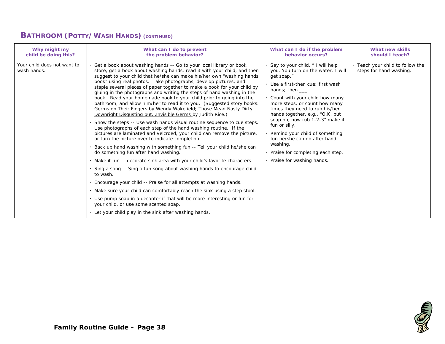|  |  | <b>BATHROOM (POTTY/WASH HANDS) (CONTINUED)</b> |  |
|--|--|------------------------------------------------|--|
|--|--|------------------------------------------------|--|

| Why might my                               | What can I do to prevent                                                                                                                                                                                                                                                                                                                                                                                                                                                                                                                                                                                                                                                                                                                                                                                                                                                                                                                                                                                                                                                                                                                                                                                                                                                                                                                                                                                                                                                                                                                                                                                                               | What can I do if the problem                                                                                                                                                                                                                                                                                                                                                                                                                                                              | <b>What new skills</b>                                      |
|--------------------------------------------|----------------------------------------------------------------------------------------------------------------------------------------------------------------------------------------------------------------------------------------------------------------------------------------------------------------------------------------------------------------------------------------------------------------------------------------------------------------------------------------------------------------------------------------------------------------------------------------------------------------------------------------------------------------------------------------------------------------------------------------------------------------------------------------------------------------------------------------------------------------------------------------------------------------------------------------------------------------------------------------------------------------------------------------------------------------------------------------------------------------------------------------------------------------------------------------------------------------------------------------------------------------------------------------------------------------------------------------------------------------------------------------------------------------------------------------------------------------------------------------------------------------------------------------------------------------------------------------------------------------------------------------|-------------------------------------------------------------------------------------------------------------------------------------------------------------------------------------------------------------------------------------------------------------------------------------------------------------------------------------------------------------------------------------------------------------------------------------------------------------------------------------------|-------------------------------------------------------------|
| child be doing this?                       | the problem behavior?                                                                                                                                                                                                                                                                                                                                                                                                                                                                                                                                                                                                                                                                                                                                                                                                                                                                                                                                                                                                                                                                                                                                                                                                                                                                                                                                                                                                                                                                                                                                                                                                                  | behavior occurs?                                                                                                                                                                                                                                                                                                                                                                                                                                                                          | should I teach?                                             |
| Your child does not want to<br>wash hands. | Get a book about washing hands -- Go to your local library or book<br>store, get a book about washing hands, read it with your child, and then<br>suggest to your child that he/she can make his/her own "washing hands<br>book" using real photos. Take photographs, develop pictures, and<br>staple several pieces of paper together to make a book for your child by<br>gluing in the photographs and writing the steps of hand washing in the<br>book. Read your homemade book to your child prior to going into the<br>bathroom, and allow him/her to read it to you. (Suggested story books:<br>Germs on Their Fingers by Wendy Wakefield; Those Mean Nasty Dirty<br>Downright Disgusting butInvisible Germs by Judith Rice.)<br>Show the steps -- Use wash hands visual routine sequence to cue steps.<br>Use photographs of each step of the hand washing routine. If the<br>pictures are laminated and Velcroed, your child can remove the picture,<br>or turn the picture over to indicate completion.<br>Back up hand washing with something fun -- Tell your child he/she can<br>do something fun after hand washing.<br>Make it fun -- decorate sink area with your child's favorite characters.<br>Sing a song -- Sing a fun song about washing hands to encourage child<br>to wash.<br>. Encourage your child -- Praise for all attempts at washing hands.<br>. Make sure your child can comfortably reach the sink using a step stool.<br>. Use pump soap in a decanter if that will be more interesting or fun for<br>your child, or use some scented soap.<br>. Let your child play in the sink after washing hands. | Say to your child, "I will help<br>you. You turn on the water; I will<br>get soap."<br>· Use a first-then cue: first wash<br>hands; then .<br>Count with your child how many<br>more steps, or count how many<br>times they need to rub his/her<br>hands together, e.g., "O.K. put<br>soap on, now rub 1-2-3" make it<br>fun or silly.<br>Remind your child of something<br>fun he/she can do after hand<br>washing.<br>· Praise for completing each step.<br>· Praise for washing hands. | . Teach your child to follow the<br>steps for hand washing. |

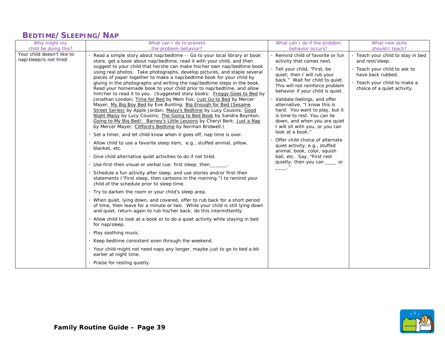# **BEDTIME/SLEEPING/NAP**

| child be doing this?<br>the problem behavior?                                                                                                                                                                                                                                                                                                                                                                                                                                                                                                                                                                                                                                                                                                                                                                                                                                                                                                                                                                                                                                                                                                                                                                                                                                                                                                                                                                                                                                                                                                                                                                                                                                                                                                                                                                                                                                                                                                                                                                                                                                                                                                                                                                                            | behavior occurs?                                                                                                                                                                                                                                                                                                                                                                                                                                                                                                                                                                                                                      |                                                                                                                                                                                             |
|------------------------------------------------------------------------------------------------------------------------------------------------------------------------------------------------------------------------------------------------------------------------------------------------------------------------------------------------------------------------------------------------------------------------------------------------------------------------------------------------------------------------------------------------------------------------------------------------------------------------------------------------------------------------------------------------------------------------------------------------------------------------------------------------------------------------------------------------------------------------------------------------------------------------------------------------------------------------------------------------------------------------------------------------------------------------------------------------------------------------------------------------------------------------------------------------------------------------------------------------------------------------------------------------------------------------------------------------------------------------------------------------------------------------------------------------------------------------------------------------------------------------------------------------------------------------------------------------------------------------------------------------------------------------------------------------------------------------------------------------------------------------------------------------------------------------------------------------------------------------------------------------------------------------------------------------------------------------------------------------------------------------------------------------------------------------------------------------------------------------------------------------------------------------------------------------------------------------------------------|---------------------------------------------------------------------------------------------------------------------------------------------------------------------------------------------------------------------------------------------------------------------------------------------------------------------------------------------------------------------------------------------------------------------------------------------------------------------------------------------------------------------------------------------------------------------------------------------------------------------------------------|---------------------------------------------------------------------------------------------------------------------------------------------------------------------------------------------|
| Your child doesn't like to<br>Read a simple story about nap/bedtime -- Go to your local library or book<br>nap/sleep/is not tired.<br>store, get a book about nap/bedtime, read it with your child, and then<br>suggest to your child that he/she can make his/her own nap/bedtime book<br>using real photos. Take photographs, develop pictures, and staple several<br>pieces of paper together to make a nap/bedtime book for your child by<br>gluing in the photographs and writing the nap/bedtime steps in the book.<br>Read your homemade book to your child prior to nap/bedtime, and allow<br>him/her to read it to you. (Suggested story books: Froggy Goes to Bed by<br>Jonathan London; Time for Bed by Mem Fox; Just Go to Bed by Mercer<br>Mayer; My Big Boy Bed by Eve Bunting; Big Enough for Bed (Sesame<br>Street Series) by Apple Jordan; Maisy's Bedtime by Lucy Cousins; Good<br>Night Maisy by Lucy Cousins; The Going to Bed Book by Sandra Boynton;<br>Going to My Big Bed!: Barney's Little Lessons by Cheryl Berk; Just a Nap<br>by Mercer Mayer; Clifford's Bedtime by Norman Bridwell.)<br>Set a timer, and let child know when it goes off, nap time is over.<br>Allow child to use a favorite sleep item, e.g., stuffed animal, pillow,<br>blanket, etc.<br>Give child alternative quiet activities to do if not tired.<br>Use first-then visual or verbal cue: first sleep; then<br>Schedule a fun activity after sleep, and use stories and/or first-then<br>statements ("First sleep, then cartoons in the morning.") to remind your<br>child of the schedule prior to sleep time.<br>. Try to darken the room or your child's sleep area.<br>· When quiet, lying down, and covered, offer to rub back for a short period<br>of time, then leave for a minute or two. While your child is still lying down<br>and quiet, return again to rub his/her back; do this intermittently.<br>Allow child to look at a book or to do a quiet activity while staying in bed<br>for nap/sleep.<br>Play soothing music.<br>Keep bedtime consistent even through the weekend.<br>· Your child might not need naps any longer, maybe just to go to bed a bit<br>earlier at night time.<br>Praise for resting quietly. | · Remind child of favorite or fun<br>activity that comes next.<br>· Tell your child, "First, be<br>quiet; then I will rub your<br>back." Wait for child to quiet.<br>This will not reinforce problem<br>behavior if your child is quiet.<br>· Validate feelings, and offer<br>alternative, "I know this is<br>hard. You want to play, but it<br>is time to rest. You can lie<br>down, and when you are quiet<br>I will sit with you, or you can<br>look at a book."<br>Offer child choice of alternate<br>quiet activity, e.g., stuffed<br>animal, book, color, squish<br>ball, etc. Say, "First rest<br>quietly; then you can ___ or | should I teach?<br>· Teach your child to stay in bed<br>and rest/sleep.<br>· Teach your child to ask to<br>have back rubbed.<br>· Teach your child to make a<br>choice of a quiet activity. |

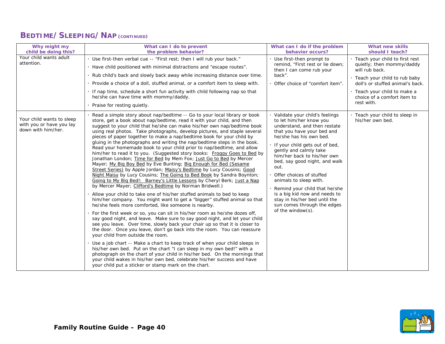#### **BEDTIME/SLEEPING/NAP (CONTINUED)**

| Why might my<br>child be doing this?                                        | What can I do to prevent<br>the problem behavior?                                                                                                                                                                                                                                                                                                                                                                                                                                                                                                                                                                                                                                                                                                                                                                                                                                                                                                                                                                                                                                                                                                                                                                                                                                                                                                                                                                                                                                                                                                                                                                                                                                                                                                                                                                                                                                                                                                                                                          | What can I do if the problem<br>behavior occurs?                                                                                                                                                                                                                                                                                                                                                                                                                                                        | <b>What new skills</b><br>should I teach?                                                                                                                                                                                          |
|-----------------------------------------------------------------------------|------------------------------------------------------------------------------------------------------------------------------------------------------------------------------------------------------------------------------------------------------------------------------------------------------------------------------------------------------------------------------------------------------------------------------------------------------------------------------------------------------------------------------------------------------------------------------------------------------------------------------------------------------------------------------------------------------------------------------------------------------------------------------------------------------------------------------------------------------------------------------------------------------------------------------------------------------------------------------------------------------------------------------------------------------------------------------------------------------------------------------------------------------------------------------------------------------------------------------------------------------------------------------------------------------------------------------------------------------------------------------------------------------------------------------------------------------------------------------------------------------------------------------------------------------------------------------------------------------------------------------------------------------------------------------------------------------------------------------------------------------------------------------------------------------------------------------------------------------------------------------------------------------------------------------------------------------------------------------------------------------------|---------------------------------------------------------------------------------------------------------------------------------------------------------------------------------------------------------------------------------------------------------------------------------------------------------------------------------------------------------------------------------------------------------------------------------------------------------------------------------------------------------|------------------------------------------------------------------------------------------------------------------------------------------------------------------------------------------------------------------------------------|
| Your child wants adult<br>attention.                                        | Use first-then verbal cue -- "First rest; then I will rub your back."<br>. Have child positioned with minimal distractions and "escape routes".<br>. Rub child's back and slowly back away while increasing distance over time.<br>Provide a choice of a doll, stuffed animal, or a comfort item to sleep with.<br>. If nap time, schedule a short fun activity with child following nap so that<br>he/she can have time with mommy/daddy.<br>Praise for resting quietly.                                                                                                                                                                                                                                                                                                                                                                                                                                                                                                                                                                                                                                                                                                                                                                                                                                                                                                                                                                                                                                                                                                                                                                                                                                                                                                                                                                                                                                                                                                                                  | Use first-then prompt to<br>remind, "First rest or lie down;<br>then I can come rub your<br>back".<br>Offer choice of "comfort item".                                                                                                                                                                                                                                                                                                                                                                   | . Teach your child to first rest<br>quietly; then mommy/daddy<br>will rub back.<br>· Teach your child to rub baby<br>doll's or stuffed animal's back.<br>· Teach your child to make a<br>choice of a comfort item to<br>rest with. |
| Your child wants to sleep<br>with you or have you lay<br>down with him/her. | Read a simple story about nap/bedtime -- Go to your local library or book<br>store, get a book about nap/bedtime, read it with your child, and then<br>suggest to your child that he/she can make his/her own nap/bedtime book<br>using real photos. Take photographs, develop pictures, and staple several<br>pieces of paper together to make a nap/bedtime book for your child by<br>gluing in the photographs and writing the nap/bedtime steps in the book.<br>Read your homemade book to your child prior to nap/bedtime, and allow<br>him/her to read it to you. (Suggested story books: Froggy Goes to Bed by<br>Jonathan London; Time for Bed by Mem Fox; Just Go to Bed by Mercer<br>Mayer; My Big Boy Bed by Eve Bunting; Big Enough for Bed (Sesame<br>Street Series) by Apple Jordan; Maisy's Bedtime by Lucy Cousins; Good<br>Night Maisy by Lucy Cousins; The Going to Bed Book by Sandra Boynton;<br>Going to My Big Bed!: Barney's Little Lessons by Cheryl Berk; Just a Nap<br>by Mercer Mayer; Clifford's Bedtime by Norman Bridwell.)<br>Allow your child to take one of his/her stuffed animals to bed to keep<br>him/her company. You might want to get a "bigger" stuffed animal so that<br>he/she feels more comforted, like someone is nearby.<br>For the first week or so, you can sit in his/her room as he/she dozes off,<br>say good night, and leave. Make sure to say good night, and let your child<br>see you leave. Over time, slowly back your chair up so that it is closer to<br>the door. Once you leave, don't go back into the room. You can reassure<br>your child from outside the room.<br>Use a job chart -- Make a chart to keep track of when your child sleeps in<br>his/her own bed. Put on the chart "I can sleep in my own bed!" with a<br>photograph on the chart of your child in his/her bed. On the mornings that<br>your child wakes in his/her own bed, celebrate his/her success and have<br>your child put a sticker or stamp mark on the chart. | Validate your child's feelings<br>to let him/her know you<br>understand, and then restate<br>that you have your bed and<br>he/she has his own bed.<br>If your child gets out of bed,<br>gently and calmly take<br>him/her back to his/her own<br>bed, say good night, and walk<br>out.<br>Offer choices of stuffed<br>animals to sleep with.<br>Remind your child that he/she<br>is a big kid now and needs to<br>stay in his/her bed until the<br>sun comes through the edges<br>of the window $(s)$ . | Teach your child to sleep in<br>his/her own bed.                                                                                                                                                                                   |

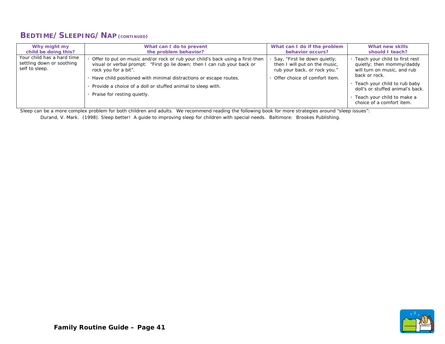#### **BEDTIME/SLEEPING/NAP (CONTINUED)**

| Why might my                                                              | What can I do to prevent                                                                                                                                                                                                                                                                                                                             | What can I do if the problem                                                                                                    | What new skills                                                                                                                                                                                                                              |
|---------------------------------------------------------------------------|------------------------------------------------------------------------------------------------------------------------------------------------------------------------------------------------------------------------------------------------------------------------------------------------------------------------------------------------------|---------------------------------------------------------------------------------------------------------------------------------|----------------------------------------------------------------------------------------------------------------------------------------------------------------------------------------------------------------------------------------------|
| child be doing this?                                                      | the problem behavior?                                                                                                                                                                                                                                                                                                                                | behavior occurs?                                                                                                                | should I teach?                                                                                                                                                                                                                              |
| Your child has a hard time<br>settling down or soothing<br>self to sleep. | Offer to put on music and/or rock or rub your child's back using a first-then<br>visual or verbal prompt: "First go lie down; then I can rub your back or<br>rock you for a bit".<br>Have child positioned with minimal distractions or escape routes.<br>Provide a choice of a doll or stuffed animal to sleep with.<br>Praise for resting quietly. | Say, "First lie down quietly;<br>then I will put on the music,<br>rub your back, or rock you."<br>Offer choice of comfort item. | · Teach your child to first rest<br>quietly; then mommy/daddy<br>will turn on music, and rub<br>back or rock.<br>Teach your child to rub baby<br>doll's or stuffed animal's back.<br>Teach your child to make a<br>choice of a comfort item. |

Sleep can be a more complex problem for both children and adults. We recommend reading the following book for more strategies around "sleep issues":

Durand, V. Mark. (1998). Sleep better! A guide to improving sleep for children with special needs. Baltimore: Brookes Publishing.

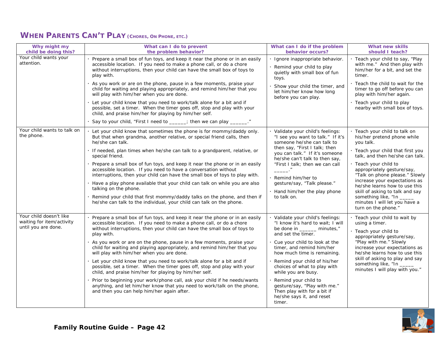| Why might my<br>child be doing this?                                        | What can I do to prevent<br>the problem behavior?                                                                                                                                                                                                                                                                                                                                                                                                                                                                                                                                                                                                                                                                                                                                                                                                                  | What can I do if the problem<br>behavior occurs?                                                                                                                                                                                                                                                                                                                                                                                             | What new skills<br>should I teach?                                                                                                                                                                                                                                                                                                                                                                                                   |
|-----------------------------------------------------------------------------|--------------------------------------------------------------------------------------------------------------------------------------------------------------------------------------------------------------------------------------------------------------------------------------------------------------------------------------------------------------------------------------------------------------------------------------------------------------------------------------------------------------------------------------------------------------------------------------------------------------------------------------------------------------------------------------------------------------------------------------------------------------------------------------------------------------------------------------------------------------------|----------------------------------------------------------------------------------------------------------------------------------------------------------------------------------------------------------------------------------------------------------------------------------------------------------------------------------------------------------------------------------------------------------------------------------------------|--------------------------------------------------------------------------------------------------------------------------------------------------------------------------------------------------------------------------------------------------------------------------------------------------------------------------------------------------------------------------------------------------------------------------------------|
| Your child wants your<br>attention.                                         | Prepare a small box of fun toys, and keep it near the phone or in an easily<br>accessible location. If you need to make a phone call, or do a chore<br>without interruptions, then your child can have the small box of toys to<br>play with.<br>toys.<br>As you work or are on the phone, pause in a few moments, praise your<br>child for waiting and playing appropriately, and remind him/her that you<br>will play with him/her when you are done.                                                                                                                                                                                                                                                                                                                                                                                                            | · Ignore inappropriate behavior.<br>Remind your child to play<br>quietly with small box of fun<br>Show your child the timer, and<br>let him/her know how long<br>before you can play.                                                                                                                                                                                                                                                        | · Teach your child to say, "Play<br>with me." And then play with<br>him/her for a bit, and set the<br>timer.<br>Teach the child to wait for the<br>timer to go off before you can<br>play with him/her again.                                                                                                                                                                                                                        |
|                                                                             | Let your child know that you need to work/talk alone for a bit and if<br>possible, set a timer. When the timer goes off, stop and play with your<br>child, and praise him/her for playing by him/her self.<br>Say to your child, "First I need to _____; then we can play ______."                                                                                                                                                                                                                                                                                                                                                                                                                                                                                                                                                                                 |                                                                                                                                                                                                                                                                                                                                                                                                                                              | · Teach your child to play<br>nearby with small box of toys.                                                                                                                                                                                                                                                                                                                                                                         |
| Your child wants to talk on<br>the phone.                                   | Let your child know that sometimes the phone is for mommy/daddy only.<br>But that when grandma, another relative, or special friend calls, then<br>he/she can talk.<br>If needed, plan times when he/she can talk to a grandparent, relative, or<br>special friend.<br>Prepare a small box of fun toys, and keep it near the phone or in an easily<br>accessible location. If you need to have a conversation without<br>interruptions, then your child can have the small box of toys to play with.<br>Have a play phone available that your child can talk on while you are also<br>talking on the phone.<br>Remind your child that first mommy/daddy talks on the phone, and then if<br>he/she can talk to the individual, your child can talk on the phone.                                                                                                    | Validate your child's feelings:<br>"I see you want to talk." If it's<br>someone he/she can talk to<br>then say, "First I talk; then<br>you can talk." If it's someone<br>he/she can't talk to then say,<br>"First I talk; then we can call<br>Remind him/her to<br>gesture/say, "Talk please."<br>Hand him/her the play phone<br>to talk on.                                                                                                 | · Teach your child to talk on<br>his/her pretend phone while<br>you talk.<br>· Teach your child that first you<br>talk, and then he/she can talk.<br>· Teach your child to<br>appropriately gesture/say,<br>"Talk on phone please." Slowly<br>increase your expectations as<br>he/she learns how to use this<br>skill of asking to talk and say<br>something like, "In _____<br>minutes I will let you have a<br>turn on the phone." |
| Your child doesn't like<br>waiting for item/activity<br>until you are done. | Prepare a small box of fun toys, and keep it near the phone or in an easily<br>accessible location. If you need to make a phone call, or do a chore<br>without interruptions, then your child can have the small box of toys to<br>play with.<br>As you work or are on the phone, pause in a few moments, praise your<br>child for waiting and playing appropriately, and remind him/her that you<br>will play with him/her when you are done.<br>Let your child know that you need to work/talk alone for a bit and if<br>possible, set a timer. When the timer goes off, stop and play with your<br>child, and praise him/her for playing by him/her self.<br>Prior to beginning your work/phone call, ask your child if he needs/wants<br>anything, and let him/her know that you need to work/talk on the phone,<br>and then you can help him/her again after. | Validate your child's feelings:<br>"I know it's hard to wait; I will<br>be done in _______ minutes,"<br>and set the timer.<br>Cue your child to look at the<br>timer, and remind him/her<br>how much time is remaining.<br>Remind your child of his/her<br>choices of what to play with<br>while you are busy.<br>Remind your child to<br>gesture/say, "Play with me."<br>Then play with for a bit if<br>he/she says it, and reset<br>timer. | · Teach your child to wait by<br>using a timer.<br>· Teach your child to<br>appropriately gesture/say,<br>"Play with me." Slowly<br>increase your expectations as<br>he/she learns how to use this<br>skill of asking to play and say<br>something like, "In _<br>minutes I will play with you."                                                                                                                                     |

#### **WHEN PARENTS CAN'T PLAY (CHORES, ON PHONE, ETC.)**

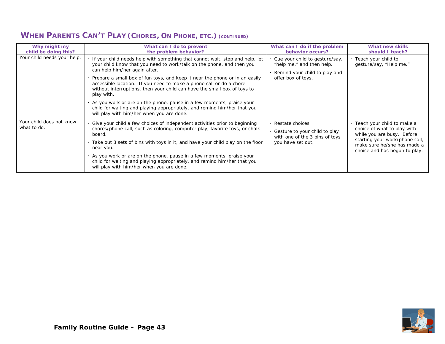| Why might my<br>child be doing this?    | What can I do to prevent<br>the problem behavior?                                                                                                                                                                                                                                                                                                                                                                                                                                                                                                                                                                                         | What can I do if the problem<br>behavior occurs?                                                                   | What new skills<br>should I teach?                                                                                                                                                          |
|-----------------------------------------|-------------------------------------------------------------------------------------------------------------------------------------------------------------------------------------------------------------------------------------------------------------------------------------------------------------------------------------------------------------------------------------------------------------------------------------------------------------------------------------------------------------------------------------------------------------------------------------------------------------------------------------------|--------------------------------------------------------------------------------------------------------------------|---------------------------------------------------------------------------------------------------------------------------------------------------------------------------------------------|
| Your child needs your help.             | If your child needs help with something that cannot wait, stop and help, let<br>your child know that you need to work/talk on the phone, and then you<br>can help him/her again after.<br>Prepare a small box of fun toys, and keep it near the phone or in an easily<br>accessible location. If you need to make a phone call or do a chore<br>without interruptions, then your child can have the small box of toys to<br>play with.<br>. As you work or are on the phone, pause in a few moments, praise your<br>child for waiting and playing appropriately, and remind him/her that you<br>will play with him/her when you are done. | Cue your child to gesture/say,<br>"help me," and then help.<br>Remind your child to play and<br>offer box of toys. | Teach your child to<br>gesture/say, "Help me."                                                                                                                                              |
| Your child does not know<br>what to do. | Give your child a few choices of independent activities prior to beginning<br>chores/phone call, such as coloring, computer play, favorite toys, or chalk<br>board.<br>. Take out 3 sets of bins with toys in it, and have your child play on the floor<br>near you.<br>. As you work or are on the phone, pause in a few moments, praise your<br>child for waiting and playing appropriately, and remind him/her that you<br>will play with him/her when you are done.                                                                                                                                                                   | Restate choices.<br>Gesture to your child to play<br>with one of the 3 bins of toys<br>you have set out.           | · Teach your child to make a<br>choice of what to play with<br>while you are busy. Before<br>starting your work/phone call,<br>make sure he/she has made a<br>choice and has begun to play. |

#### **WHEN PARENTS CAN'T PLAY (CHORES, ON PHONE, ETC.) (CONTINUED)**

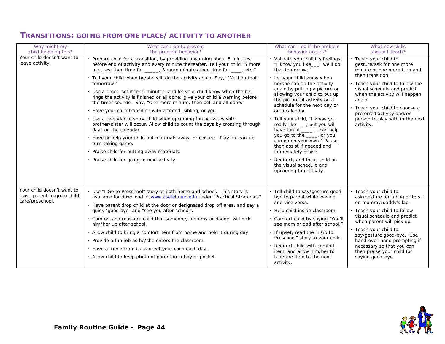| Why might my<br>child be doing this?                                         | What can I do to prevent<br>the problem behavior?                                                                                                                                                                                                                                                                                                                                                                                                                                                                                                                                                                                                                                                                                                                                                                                                                                                                                                                                                            | What can I do if the problem<br>behavior occurs?                                                                                                                                                                                                                                                                                                                                                                                                                                                                                                                                                         | What new skills<br>should I teach?                                                                                                                                                                                                                                                                                                                |
|------------------------------------------------------------------------------|--------------------------------------------------------------------------------------------------------------------------------------------------------------------------------------------------------------------------------------------------------------------------------------------------------------------------------------------------------------------------------------------------------------------------------------------------------------------------------------------------------------------------------------------------------------------------------------------------------------------------------------------------------------------------------------------------------------------------------------------------------------------------------------------------------------------------------------------------------------------------------------------------------------------------------------------------------------------------------------------------------------|----------------------------------------------------------------------------------------------------------------------------------------------------------------------------------------------------------------------------------------------------------------------------------------------------------------------------------------------------------------------------------------------------------------------------------------------------------------------------------------------------------------------------------------------------------------------------------------------------------|---------------------------------------------------------------------------------------------------------------------------------------------------------------------------------------------------------------------------------------------------------------------------------------------------------------------------------------------------|
| Your child doesn't want to<br>leave activity.                                | Prepare child for a transition, by providing a warning about 5 minutes<br>before end of activity and every minute thereafter. Tell your child "5 more<br>minutes, then time for _____, 3 more minutes then time for ____, etc."<br>· Tell your child when he/she will do the activity again. Say, "We'll do that<br>tomorrow."<br>. Use a timer, set if for 5 minutes, and let your child know when the bell<br>rings the activity is finished or all done; give your child a warning before<br>the timer sounds. Say, "One more minute, then bell and all done."<br>· Have your child transition with a friend, sibling, or you.<br>· Use a calendar to show child when upcoming fun activities with<br>brother/sister will occur. Allow child to count the days by crossing through<br>days on the calendar.<br>· Have or help your child put materials away for closure. Play a clean-up<br>turn-taking game.<br>· Praise child for putting away materials.<br>· Praise child for going to next activity. | Validate your child's feelings,<br>"I know you like__; we'll do<br>that tomorrow."<br>Let your child know when<br>he/she can do the activity<br>again by putting a picture or<br>allowing your child to put up<br>the picture of activity on a<br>schedule for the next day or<br>on a calendar.<br>Tell your child, "I know you<br>really like ___, but you will<br>have fun at _____. I can help<br>you go to the ____, or you<br>can go on your own." Pause,<br>then assist if needed and<br>immediately praise.<br>Redirect, and focus child on<br>the visual schedule and<br>upcoming fun activity. | Teach your child to<br>gesture/ask for one more<br>minute or one more turn and<br>then transition.<br>· Teach your child to follow the<br>visual schedule and predict<br>when the activity will happen<br>again.<br>· Teach your child to choose a<br>preferred activity and/or<br>person to play with in the next<br>activity.                   |
| Your child doesn't want to<br>leave parent to go to child<br>care/preschool. | . Use "I Go to Preschool" story at both home and school. This story is<br>available for download at www.csefel.uiuc.edu under "Practical Strategies".<br>· Have parent drop child at the door or designated drop off area, and say a<br>quick "good bye" and "see you after school".<br>Comfort and reassure child that someone, mommy or daddy, will pick<br>him/her up after school.<br>. Allow child to bring a comfort item from home and hold it during day.<br>· Provide a fun job as he/she enters the classroom.<br>· Have a friend from class greet your child each day.<br>· Allow child to keep photo of parent in cubby or pocket.                                                                                                                                                                                                                                                                                                                                                               | Tell child to say/gesture good<br>bye to parent while waving<br>and vice versa.<br>Help child inside classroom.<br>Comfort child by saying "You'll<br>see mom or dad after school."<br>If upset, read the "I Go to<br>Preschool" story to your child.<br>Redirect child with comfort<br>item, and allow him/her to<br>take the item to the next<br>activity.                                                                                                                                                                                                                                             | · Teach your child to<br>ask/gesture for a hug or to sit<br>on mommy/daddy's lap.<br>. Teach your child to follow<br>visual schedule and predict<br>when parent will pick up.<br>· Teach your child to<br>say/gesture good-bye. Use<br>hand-over-hand prompting if<br>necessary so that you can<br>then praise your child for<br>saying good-bye. |

#### **TRANSITIONS: GOING FROM ONE PLACE/ACTIVITY TO ANOTHER**

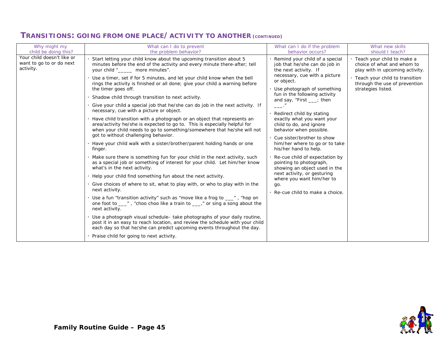| Why might my                                                                                | What can I do to prevent<br>the problem behavior?                                                                                                                                                                                                                                                                                                                                                                                                                                                                                                                                                                                                                                                                                                                                                                                                                                                                                                                                                                                                                                                                                                                                                                                                                                                                                                                                                                                                                                                                                                                                                                                                                                                          | What can I do if the problem<br>behavior occurs?                                                                                                                                                                                                                                                                                                                                                                                                                                                                                                                                                                                                  | What new skills<br>should I teach?                                                                                                                                                       |
|---------------------------------------------------------------------------------------------|------------------------------------------------------------------------------------------------------------------------------------------------------------------------------------------------------------------------------------------------------------------------------------------------------------------------------------------------------------------------------------------------------------------------------------------------------------------------------------------------------------------------------------------------------------------------------------------------------------------------------------------------------------------------------------------------------------------------------------------------------------------------------------------------------------------------------------------------------------------------------------------------------------------------------------------------------------------------------------------------------------------------------------------------------------------------------------------------------------------------------------------------------------------------------------------------------------------------------------------------------------------------------------------------------------------------------------------------------------------------------------------------------------------------------------------------------------------------------------------------------------------------------------------------------------------------------------------------------------------------------------------------------------------------------------------------------------|---------------------------------------------------------------------------------------------------------------------------------------------------------------------------------------------------------------------------------------------------------------------------------------------------------------------------------------------------------------------------------------------------------------------------------------------------------------------------------------------------------------------------------------------------------------------------------------------------------------------------------------------------|------------------------------------------------------------------------------------------------------------------------------------------------------------------------------------------|
| child be doing this?<br>Your child doesn't like or<br>want to go to or do next<br>activity. | Start letting your child know about the upcoming transition about 5<br>minutes before the end of the activity and every minute there-after; tell<br>your child " more minutes".<br>Use a timer, set if for 5 minutes, and let your child know when the bell<br>rings the activity is finished or all done; give your child a warning before<br>the timer goes off.<br>Shadow child through transition to next activity.<br>Give your child a special job that he/she can do job in the next activity. If<br>necessary, cue with a picture or object.<br>Have child transition with a photograph or an object that represents an<br>area/activity he/she is expected to go to. This is especially helpful for<br>when your child needs to go to something/somewhere that he/she will not<br>got to without challenging behavior.<br>Have your child walk with a sister/brother/parent holding hands or one<br>finger.<br>. Make sure there is something fun for your child in the next activity, such<br>as a special job or something of interest for your child. Let him/her know<br>what's in the next activity.<br>Help your child find something fun about the next activity.<br>Give choices of where to sit, what to play with, or who to play with in the<br>next activity.<br>Use a fun "transition activity" such as "move like a frog to ___", "hop on<br>one foot to ___", "choo choo like a train to ___," or sing a song about the<br>next activity.<br>Use a photograph visual schedule- take photographs of your daily routine,<br>post it in an easy to reach location, and review the schedule with your child<br>each day so that he/she can predict upcoming events throughout the day. | Remind your child of a special<br>job that he/she can do job in<br>the next activity. If<br>necessary, cue with a picture<br>or object.<br>Use photograph of something<br>fun in the following activity<br>and say, "First ___; then<br>Redirect child by stating<br>exactly what you want your<br>child to do, and ignore<br>behavior when possible.<br>Cue sister/brother to show<br>him/her where to go or to take<br>his/her hand to help.<br>Re-cue child of expectation by<br>pointing to photograph,<br>showing an object used in the<br>next activity, or gesturing<br>where you want him/her to<br>go.<br>Re-cue child to make a choice. | · Teach your child to make a<br>choice of what and whom to<br>play with in upcoming activity.<br>· Teach your child to transition<br>through the use of prevention<br>strategies listed. |
|                                                                                             | Praise child for going to next activity.                                                                                                                                                                                                                                                                                                                                                                                                                                                                                                                                                                                                                                                                                                                                                                                                                                                                                                                                                                                                                                                                                                                                                                                                                                                                                                                                                                                                                                                                                                                                                                                                                                                                   |                                                                                                                                                                                                                                                                                                                                                                                                                                                                                                                                                                                                                                                   |                                                                                                                                                                                          |

#### **TRANSITIONS: GOING FROM ONE PLACE/ACTIVITY TO ANOTHER (CONTINUED)**